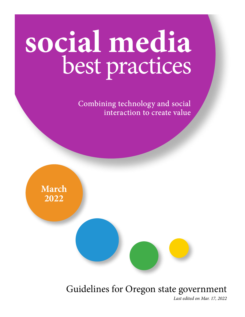# **social media**  best practices

Combining technology and social interaction to create value



### Guidelines for Oregon state government

*Last edited on Mar. 17, 2022*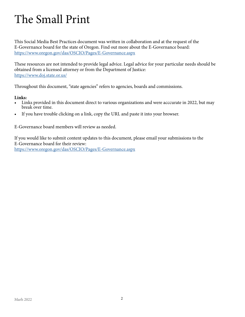### The Small Print

This Social Media Best Practices document was written in collaboration and at the request of the E-Governance board for the state of Oregon. Find out more about the E-Governance board: https://www.oregon.gov/das/OSCIO/Pages/E-Governance.aspx

These resources are not intended to provide legal advice. Legal advice for your particular needs should be obtained from a licensed attorney or from the Department of Justice: <https://www.doj.state.or.us/>

Throughout this document, "state agencies" refers to agencies, boards and commissions.

#### **Links:**

- Links provided in this document direct to various organizations and were acccurate in 2022, but may break over time.
- If you have trouble clicking on a link, copy the URL and paste it into your browser.

E-Governance board members will review as needed.

If you would like to submit content updates to this document, please email your submissions to the E-Governance board for their review:

https://www.oregon.gov/das/OSCIO/Pages/E-Governance.aspx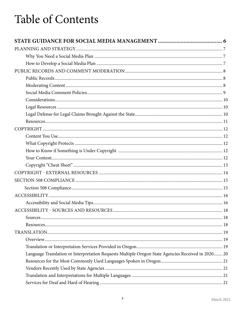### **Table of Contents**

| Language Translation or Interpretation Requests Multiple Oregon State Agencies Received in 2020 20 |  |
|----------------------------------------------------------------------------------------------------|--|
|                                                                                                    |  |
|                                                                                                    |  |
|                                                                                                    |  |
|                                                                                                    |  |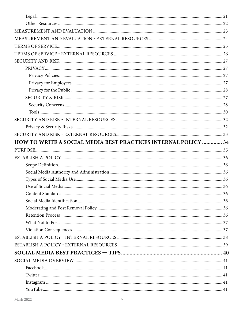| HOW TO WRITE A SOCIAL MEDIA BEST PRACTICES INTERNAL POLICY  34 |  |
|----------------------------------------------------------------|--|
|                                                                |  |
|                                                                |  |
|                                                                |  |
|                                                                |  |
|                                                                |  |
|                                                                |  |
|                                                                |  |
|                                                                |  |
|                                                                |  |
|                                                                |  |
|                                                                |  |
|                                                                |  |
|                                                                |  |
|                                                                |  |
|                                                                |  |
|                                                                |  |
|                                                                |  |
|                                                                |  |
| $Instagram\  \,  \,  \,  \,  \,  \, 41$                        |  |
|                                                                |  |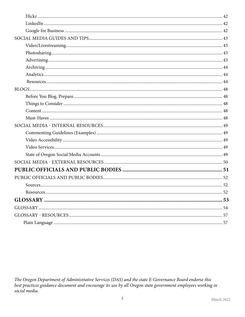| 52<br>Resources. |  |
|------------------|--|
|                  |  |
|                  |  |
|                  |  |
|                  |  |
|                  |  |
|                  |  |
|                  |  |
|                  |  |
|                  |  |
|                  |  |
|                  |  |
|                  |  |
|                  |  |
|                  |  |
|                  |  |
|                  |  |
|                  |  |
|                  |  |
|                  |  |
|                  |  |
|                  |  |
|                  |  |
|                  |  |
|                  |  |
|                  |  |
|                  |  |
|                  |  |
|                  |  |

The Oregon Department of Administrative Services (DAS) and the state E-Governance Board endorse this best practices guidance document and encourage its use by all Oregon state government employees working in social media.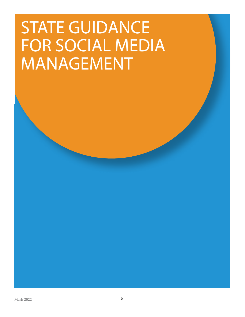## <span id="page-5-0"></span>STATE GUIDANCE FOR SOCIAL MEDIA MANAGEMENT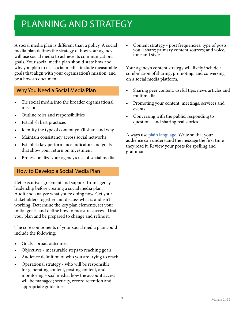### <span id="page-6-1"></span><span id="page-6-0"></span>PLANNING AND STRATEGY

A social media plan is different than a policy. A social media plan defines the strategy of how your agency will use social media to achieve its communications goals. Your social media plan should state how and why you plan to use social media; include measurable goals that align with your organization's mission; and be a how-to document.

#### Why You Need a Social Media Plan

- Tie social media into the broader organizational mission
- Outline roles and responsibilities
- Establish best practices
- Identify the type of content you'll share and why
- Maintain consistency across social networks
- Establish key performance indicators and goals that show your return on investment
- Professionalize your agency's use of social media

#### How to Develop a Social Media Plan

Get executive agreement and support from agency leadership before creating a social media plan. Audit and analyze what you're doing now. Get your stakeholders together and discuss what is and isn't working. Determine the key plan elements, set your initial goals, and define how to measure success. Draft your plan and be prepared to change and refine it.

The core components of your social media plan could include the following:

- Goals broad outcomes
- Objectives measurable steps to reaching goals
- Audience definition of who you are trying to reach
- Operational strategy who will be responsible for generating content, posting content, and monitoring social media; how the account access will be managed; security, record retention and appropriate guidelines

• Content strategy - post frequencies; type of posts you'll share; primary content sources; and voice, tone and style

Your agency's content strategy will likely include a combination of sharing, promoting, and conversing on a social media platform.

- Sharing peer content, useful tips, news articles and multimedia
- Promoting your content, meetings, services and events
- Conversing with the public, responding to questions, and sharing real stories

Always use [plain language](#page-53-1). Write so that your audience can understand the message the first time they read it. Review your posts for spelling and grammar.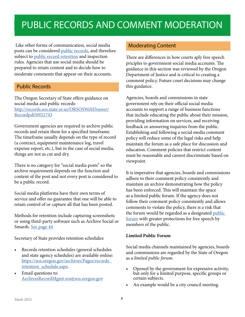### <span id="page-7-2"></span><span id="page-7-0"></span>PUBLIC RECORDS AND COMMENT MODERATION

<span id="page-7-1"></span> Like other forms of communication, social media posts can be considered [public records](#page-53-1), and therefore subject to [public record retention](#page-53-1) and inspection rules. Agencies that use social media should be prepared to retain content and to decide how to moderate comments that appear on their accounts.

#### Public Records

The Oregon Secretary of State offers guidance on social media and public records: [http://records.sos.state.or.us/ORSOSWebDrawer/](http://records.sos.state.or.us/ORSOSWebDrawer/Recordpdf/6921743) [Recordpdf/6921743](http://records.sos.state.or.us/ORSOSWebDrawer/Recordpdf/6921743)

Government agencies are required to archive public records and retain them for a specified timeframe. The timeframe usually depends on the type of record (a contract, equipment maintenance log, travel expense report, etc.), but in the case of social media, things are not as cut and dry.

There is no category for "social media posts" so the archive requirement depends on the function and content of the post and not every post is considered to be a public record.

Social media platforms have their own terms of service and offer no guarantee that one will be able to retain control of or capture all that has been posted.

Methods for retention include capturing screenshots or using third-party software such as Archive Social or Smarsh. [See page 44](#page-43-1)

Secretary of State provides retention schedules:

- Records retention schedules (general schedules and state agency schedules) are available online: [https://sos.oregon.gov/archives/Pages/records\\_](https://sos.oregon.gov/archives/Pages/records_retention_schedule.aspx) [retention\\_schedule.aspx.](https://sos.oregon.gov/archives/Pages/records_retention_schedule.aspx)
- Email questions to: [ArchivesRecordMgmt.sos@sos.oregon.gov](mailto:ArchivesRecordMgmt.sos%40oregon.gov?subject=)

#### Moderating Content

There are differences in how courts aply free speech priciples to government social media accounts. The guidance in this section was reviewed by the Oregon Department of Justice and is critical to creating a comment policy. Future court decisions may change this guidance.

Agencies, boards and commissions in state government rely on their official social media accounts to support a range of business functions that include educating the public about their mission, providing information on services, and receiving feedback or answering inquiries from the public. Establishing and following a social media comment policy will reduce some of the legal risks and help maintain the forum as a safe place for discussion and education. Comment policies that restrict content must be reasonable and cannot discriminate based on viewpoint.

It is imperative that agencies, boards and commissions adhere to their comment policy consistently and maintain an archive demonstrating how the policy has been enforced. This will maintain the space as a limited public forum. If the agency does not follow their comment policy consistently and allows comments to violate the policy, there is a risk that the forum would be regarded as a designated public [forum](#page-53-1) with greater protections for free speech by members of the public.

#### **Limited Public Forum**

Social media channels maintained by agencies, boards and commissions are regarded by the State of Oregon as a *limited public forum*.

- Opened by the government for expressive activity, but only for a limited purpose, specific groups or certain subjects.
- An example would be a city council meeting.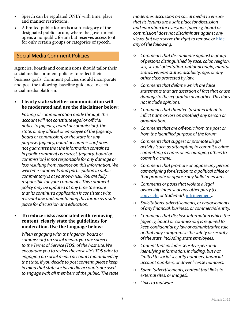- <span id="page-8-0"></span>• Speech can be regulated ONLY with time, place and manner restrictions.
- A limited public forum is a sub-category of the designated public forum, where the government opens a nonpublic forum but reserves access to it for only certain groups or categories of speech.

#### <span id="page-8-3"></span>Social Media Comment Policies

Agencies, boards and commissions should tailor their social media comment policies to reflect their business goals. Comment policies should incorporate and post the following baseline guidance to each social media platform.

**• Clearly state whether communication will be moderated and use the disclaimer below:**

*Posting of communication made through this account will not constitute legal or official notice to [agency, board or commission], the state, or any official or employee of the [agency, board or commission] or the state for any purpose. [agency, board or commission] does not guarantee that the information contained in public comments is correct. [agency, board or commission] is not responsible for any damage or loss resulting from reliance on this information. We welcome comments and participation in public commentary is at your own risk. You are fully responsible for your comments. This comment policy may be updated at any time to ensure that its continued application is consistent with relevant law and maintaining this forum as a safe place for discussion and education.*

#### **• To reduce risks associated with removing content, clearly state the guidelines for moderation. Use the language below:**

*When engaging with the [agency, board or commission] on social media, you are subject to the Terms of Service (TOS) of the host site. We encourage you to review the host site's TOS prior to engaging on social media accounts maintained by the state. If you decide to post content, please keep in mind that state social media accounts are used to engage with all members of the public. The state*  *moderates discussion on social media to ensure that its forums are a safe place for discussion and education for everyone. [agency, board or commission] does not discriminate against any views, but we reserve the right to remove or* [hide](#page-53-1) *any of the following:*

- <span id="page-8-1"></span>○ *Comments that discriminate against a group of persons distinguished by race, color, religion, sex, sexual orientation, national origin, marital status, veteran status, disability, age, or any other class protected by law.*
- *Comments that defame which are false statements that are assertion of fact that cause damage to the reputation of another. This does not include opinions.*
- *Comments that threaten (a stated intent to inflict harm or loss on another) any person or organization.*
- *Comments that are off-topic from the post or from the identified purpose of the forum.*
- *Comments that suggest or promote illegal activity (such as attempting to commit a crime, committing a crime, or encouraging others to commit a crime).*
- *Comments that promote or oppose any person campaigning for election to a political office or that promote or oppose any ballot measure.*
- *Comments or posts that violate a legal ownership interest of any other party (i.e.*  [copyright](#page-53-1) *or trademark* [infringement](#page-53-1)*).*
- <span id="page-8-2"></span>○ *Solicitations, advertisements, or endorsements of any financial, business, or commercial entity.*
- *Comments that disclose information which the [agency, board or commission] is required to keep confidential by law or administrative rule or that may compromise the safety or security of the state, including state employees.*
- *Content that includes sensitive personal identifying information, including, but not limited to social security numbers, financial account numbers, or driver license numbers.*
- *Spam (advertisements, content that links to external sites, or images).*
- *Links to malware.*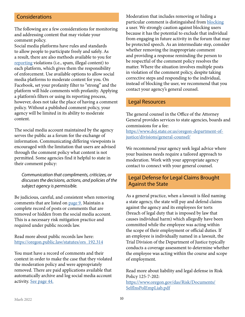#### <span id="page-9-3"></span><span id="page-9-0"></span>**Considerations**

The following are a few considerations for monitoring and addressing content that may violate your comment policy.

Social media platforms have rules and standards to allow people to participate freely and safely. As a result, there are also methods available to you for [reporting](#page-53-1) violations (i.e., spam, illegal content) to each platform, which gives them the responsibility of enforcement. Use available options to allow social media platforms to moderate content for you. On Facebook, set your profanity filter to "strong" and the platform will hide comments with profanity. Applying a platform's filters or using its reporting process, however, does not take the place of having a comment policy. Without a published comment policy, your agency will be limited in its ability to moderate content.

The social media account maintained by the agency serves the public as a forum for the exchange of information. Communicating differing viewpoints is encouraged with the limitation that users are advised through the comment policy what content is not permitted. Some agencies find it helpful to state in their comment policy:

*Communication that compliments, criticizes, or discusses the decisions, actions, and policies of the subject agency is permissible.*

Be judicious, careful, and consistent when removing comments that are listed on [page 9.](#page-8-1) Maintain a complete record of posts or comments that are removed or hidden from the social media account. This is a necessary risk mitigation practice and required under public records law.

#### Read more about public records law here: [https://oregon.public.law/statutes/ors\\_192.314](https://oregon.public.law/statutes/ors_192.314)

You must have a record of comments and their context in order to make the case that they violated the moderation policy and were appropriately removed. There are paid applications available that automatically archive and log social media account activity. [See page 44.](#page-43-1)

<span id="page-9-2"></span>Moderation that includes removing or hiding a particular comment is distinguished from [blocking](#page-53-1) a user. We strongly caution against blocking users because it has the potential to exclude that individual from engaging in future activity in the forum that may be protected speech. As an intermediate step, consider whether removing the inappropriate comment and providing a response reminding the person to be respectful of the comment policy resolves the matter. Where the situation involves multiple posts in violation of the comment policy, despite taking corrective steps and responding to the individual, instead of blocking the user, we recommend that you contact your agency's general counsel.

#### Legal Resources

<span id="page-9-1"></span>The general counsel in the Office of the Attorney General provides services to state agencies, boards and commissions for a fee: [https://www.doj.state.or.us/oregon-department-of](https://www.doj.state.or.us/oregon-department-of-justice/divisions/general-counsel/)[justice/divisions/general-counsel/](https://www.doj.state.or.us/oregon-department-of-justice/divisions/general-counsel/)

We recommend your agency seek legal advice where your business needs require a tailored approach to moderation. Work with your appropriate agency contact to connect with your general counsel.

#### Legal Defense for Legal Claims Brought Against the State

As a general practice, when a lawsuit is filed naming a state agency, the state will pay and defend claims against the agency and its employees for torts (breach of legal duty that is imposed by law that causes individual harm) which allegedly have been committed while the employee was acting within the scope of their employment or official duties. If an employee is individually named in a lawsuit, the Trial Division of the Department of Justice typically conducts a coverage assessment to determine whether the employee was acting within the course and scope of employment.

Read more about liability and legal defense in Risk Policy 125-7-202: [https://www.oregon.gov/das/Risk/Documents/](https://www.oregon.gov/das/Risk/Documents/SelfInsPolEmpLiab.pdf) [SelfInsPolEmpLiab.pdf](https://www.oregon.gov/das/Risk/Documents/SelfInsPolEmpLiab.pdf)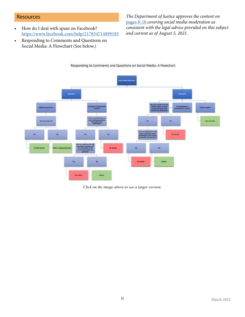#### <span id="page-10-0"></span>**Resources**

- How do I deal with spam on Facebook? <https://www.facebook.com/help/217854714899185>
- Responding to Comments and Questions on Social Media: A Flowchart (See below.)

*The Department of Justice approves the content on*  [pages 8-10](#page-7-1) *covering social media moderation as consistent with the legal advice provided on this subject and current as of August 5, 2021.*



Responding to Comments and Questions on Social Media: A Flowchart

*Click on the image above to see a larger version.*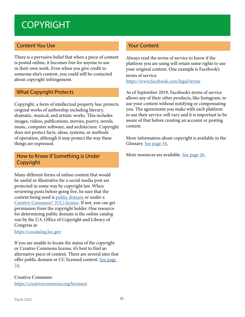### <span id="page-11-1"></span><span id="page-11-0"></span>**COPYRIGHT**

#### Content You Use

There is a pervasive belief that when a piece of content is posted online, it becomes free for anyone to use in their own work. Even when you give credit to someone else's content, you could still be contacted about copyright infringement.

#### What Copyright Protects

Copyright, a form of intellectual property law, protects original works of authorship including literary, dramatic, musical, and artistic works. This includes images, videos, publications, movies, poetry, novels, music, computer software, and architecture. Copyright does not protect facts, ideas, systems, or methods of operation, although it may protect the way these things are expressed.

#### How to Know if Something is Under Copyright

Many different forms of online content that would be useful or illustrative for a social media post are protected in some way by copyright law. When reviewing posts before going live, be sure that the content being used is [public domain](#page-53-1) or under a [Creative Commons\\* \(CC\) license](#page-53-1). If not, you can get permission from the copyright holder. One resource for determining public domain is the online catalog run by the U.S. Office of Copyright and Library of Congress at:

#### <https://cocatalog.loc.gov>

If you are unable to locate the status of the copyright or Creative Commons license, it's best to find an alternative piece of content. There are several sites that offer public domain or CC licensed content. [See page](#page-53-1)  [54.](#page-53-1)

Creative Commons: <https://creativecommons.org/licenses/>

#### Your Content

Always read the terms of service to know if the platform you are using will retain some rights to use your original content. One example is Facebook's terms of service: <https://www.facebook.com/legal/terms>

As of September 2019, Facebook's terms of service allows any of their other products, like Instagram, to use your content without notifying or compensating you. The agreements you make with each platform to use their service will vary and it is important to be aware of that before creating an account or posting content.

More information about copyright is available in the Glossary. [See page 54.](#page-53-1)

More resources are available. <u>See page 26.</u>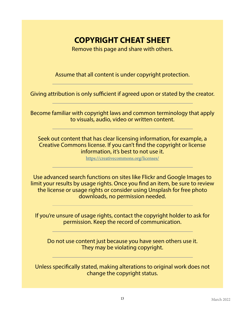### **COPYRIGHT CHEAT SHEET**

Remove this page and share with others.

Assume that all content is under copyright protection.

Giving attribution is only sufficient if agreed upon or stated by the creator.

Become familiar with copyright laws and common terminology that apply to visuals, audio, video or written content.

Seek out content that has clear licensing information, for example, a Creative Commons license. If you can't find the copyright or license information, it's best to not use it.

<https://creativecommons.org/licenses/>

Use advanced search functions on sites like Flickr and Google Images to limit your results by usage rights. Once you find an item, be sure to review the license or usage rights or consider using Unsplash for free photo downloads, no permission needed.

If you're unsure of usage rights, contact the copyright holder to ask for permission. Keep the record of communication.

Do not use content just because you have seen others use it. They may be violating copyright.

Unless specifically stated, making alterations to original work does not change the copyright status.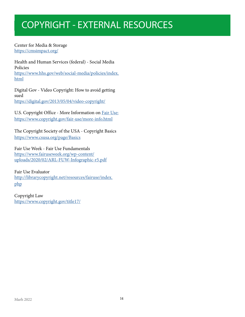### <span id="page-13-1"></span><span id="page-13-0"></span>COPYRIGHT - EXTERNAL RESOURCES

Center for Media & Storage <https://cmsimpact.org/>

Health and Human Services (federal) - Social Media Policies [https://www.hhs.gov/web/social-media/policies/index.](https://www.hhs.gov/web/social-media/policies/index.html) [html](https://www.hhs.gov/web/social-media/policies/index.html)

Digital Gov - Video Copyright: How to avoid getting sued <https://digital.gov/2013/05/04/video-copyright/>

U.S. Copyright Office - More Information on [Fair Use:](#page-53-1) <https://www.copyright.gov/fair-use/more-info.html>

The Copyright Society of the USA - Copyright Basics https://www.csusa.org/page/Basics

Fair Use Week - Fair Use Fundamentals [https://www.fairuseweek.org/wp-content/](https://www.fairuseweek.org/wp-content/uploads/2020/02/ARL-FUW-Infographic-r5.pdf) [uploads/2020/02/ARL-FUW-Infographic-r5.pdf](https://www.fairuseweek.org/wp-content/uploads/2020/02/ARL-FUW-Infographic-r5.pdf)

Fair Use Evaluator [http://librarycopyright.net/resources/fairuse/index.](http://librarycopyright.net/resources/fairuse/index.php) [php](http://librarycopyright.net/resources/fairuse/index.php)

Copyright Law <https://www.copyright.gov/title17/>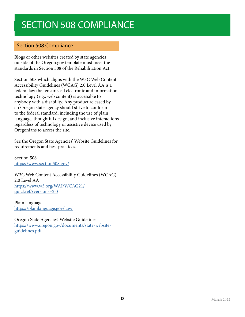### <span id="page-14-0"></span>SECTION 508 COMPLIANCE

#### Section 508 Compliance

Blogs or other websites created by state agencies outside of the Oregon.gov template must meet the standards in Section 508 of the Rehabilitation Act.

Section 508 which aligns with the W3C Web Content Accessibility Guidelines (WCAG) 2.0 Level AA is a federal law that ensures all electronic and information technology (e.g., web content) is accessible to anybody with a disability. Any product released by an Oregon state agency should strive to conform to the federal standard, including the use of plain language, thoughtful design, and inclusive interactions regardless of technology or assistive device used by Oregonians to access the site.

See the Oregon State Agencies' Website Guidelines for requirements and best practices.

Section 508 <https://www.section508.gov/>

W3C Web Content Accessibility Guidelines (WCAG) 2.0 Level AA [https://www.w3.org/WAI/WCAG21/](https://www.w3.org/WAI/WCAG21/quickref/?versions=2.0) [quickref/?versions=2.0](https://www.w3.org/WAI/WCAG21/quickref/?versions=2.0)

Plain language <https://plainlanguage.gov/law/>

Oregon State Agencies' Website Guidelines https://www.oregon.gov/documents/state-websiteguidelines.pdf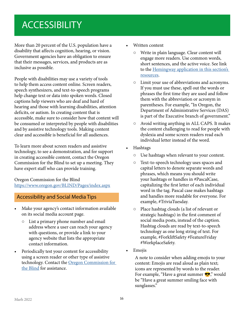### <span id="page-15-1"></span><span id="page-15-0"></span>**ACCESSIBILITY**

More than 20 percent of the U.S. population have a disability that affects cognition, hearing, or vision. Government agencies have an obligation to ensure that their messages, services, and products are as inclusive as possible.

People with disabilities may use a variety of tools to help them access content online. Screen readers, speech synthesizers, and text-to-speech programs help change text or data into spoken words. Closed captions help viewers who are deaf and hard of hearing and those with learning disabilities, attention deficits, or autism. In creating content that is accessible, make sure to consider how that content will be consumed or interpreted by people with disabilities and by assistive technology tools. Making content clear and accessible is beneficial for all audiences.

To learn more about screen readers and assistive technology, to see a demonstration, and for support in creating accessible content, contact the Oregon Commission for the Blind to set up a meeting. They have expert staff who can provide training.

Oregon Commission for the Blind https://www.oregon.gov/BLIND/Pages/index.aspx

#### Accessibility and Social Media Tips

- Make your agency's contact information available on its social media account page.
	- List a primary phone number and email address where a user can reach your agency with questions, or provide a link to your agency website that lists the appropriate contact information.
- Periodically test your content for accessibility using a screen reader or other type of assistive technology. Contact the [Oregon Commission for](https://www.oregon.gov/BLIND/Pages/index.aspx)  [the Blind](https://www.oregon.gov/BLIND/Pages/index.aspx) for assistance.
- Written content
	- Write in plain language. Clear content will engage more readers. Use common words, short sentences, and the active voice. See link to the [Hemingway application in this section's](#page-17-1)  [resources](#page-17-1).
	- Limit your use of abbreviations and acronyms. If you must use these, spell out the words or phrases the first time they are used and follow them with the abbreviation or acronym in parentheses. For example, "In Oregon, the Department of Administrative Services (DAS) is part of the Executive branch of government."
	- Avoid writing anything in ALL CAPS. It makes the content challenging to read for people with dyslexia and some screen readers read each individual letter instead of the word.
- Hashtags
	- Use hashtags when relevant to your content.
	- Text-to-speech technology uses spaces and capital letters to denote separate words and phrases, which means you should write your hashtags or handles in #PascalCase, capitalizing the first letter of each individual word in the tag. Pascal case makes hashtags and handles more readable for everyone. For example, #TriviaTuesday.
	- Place hashtag clouds (a list of relevant or strategic hashtags) in the first comment of social media posts, instead of the caption. Hashtag clouds are read by text-to-speech technology as one long string of text. For example, #ForkliftSafety #FeatureFriday #WorkplaceSafety.
- Emojis

A note to consider when adding emojis to your content: Emojis are read aloud as plain text; icons are represented by words to the reader. For example, "Have a great summer  $\bullet$ "," would be "Have a great summer smiling face with sunglasses."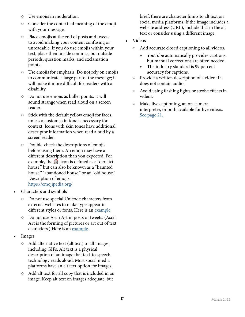- Use emojis in moderation.
- Consider the contextual meaning of the emoji with your message.
- Place emojis at the end of posts and tweets to avoid making your content confusing or unreadable. If you do use emojis within your text, place them inside commas, but outside periods, question marks, and exclamation points.
- Use emojis for emphasis. Do not rely on emojis to communicate a large part of the message; it will make it more difficult for readers with a disability.
- Do not use emojis as bullet points. It will sound strange when read aloud on a screen reader.
- Stick with the default yellow emoji for faces, unless a custom skin tone is necessary for context. Icons with skin tones have additional descriptor information when read aloud by a screen reader.
- Double-check the descriptions of emojis before using them. An emoji may have a different description than you expected. For example, the  $\dddot{\mathbf{i}}$  icon is defined as a "derelict" house," but can also be known as a "haunted house," "abandoned house," or an "old house." Description of emojis: https://emojipedia.org/
- Characters and symbols
	- Do not use special Unicode characters from external websites to make type appear in different styles or fonts. Here is an [example.](https://twitter.com/kentcdodds/status/1083073242330361856?ref_src=twsrc%5Etfw%7Ctwcamp%5Etweetembed%7Ctwterm%5E1083073242330361856%7Ctwgr%5E%7Ctwcon%5Es1_&ref_url=https%3A%2F%2Fbighack.org%2Faccessibility-screen-readers-special-characters-and-unicode-symbols%2F)
	- Do not use Ascii Art in posts or tweets. (Ascii Art is the forming of pictures or art out of text characters.) Here is an [example.](https://twitter.com/TatianaTMac/status/1109884443118862336?ref_src=twsrc%5Etfw%7Ctwcamp%5Etweetembed%7Ctwterm%5E1109884443118862336%7Ctwgr%5E%7Ctwcon%5Es1_&ref_url=https%3A%2F%2Fbighack.org%2Faccessibility-screen-readers-special-characters-and-unicode-symbols%2F)
- Images
	- Add alternative text (alt text) to all images, including GIFs. Alt text is a physical description of an image that text-to-speech technology reads aloud. Most social media platforms have an alt text option for images.
	- Add alt text for all copy that is included in an image. Keep alt text on images adequate, but

brief; there are character limits to alt text on social media platforms. If the image includes a website address (URL), include that in the alt text or consider using a different image.

- <span id="page-16-0"></span>• Videos
	- Add accurate closed captioning to all videos.
		- » YouTube automatically provides captions, but manual corrections are often needed.
		- » The industry standard is 99 percent accuracy for captions.
	- Provide a written description of a video if it does not contain audio.
	- Avoid using flashing lights or strobe effects in videos.
	- Make live captioning, an on-camera interpreter, or both available for live videos. [See page 21.](#page-20-1)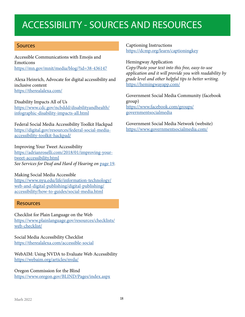### <span id="page-17-1"></span><span id="page-17-0"></span>ACCESSIBILITY - SOURCES AND RESOURCES

#### Sources

Accessible Communications with Emojis and Emoticons https://mn.gov/mnit/media/blog/?id=38-436147

Alexa Heinrich, Advocate for digital accessibility and inclusive content https://therealalexa.com/

#### Disability Impacts All of Us

[https://www.cdc.gov/ncbddd/disabilityandhealth/](https://www.cdc.gov/ncbddd/disabilityandhealth/infographic-disability-impacts-all.html) [infographic-disability-impacts-all.html](https://www.cdc.gov/ncbddd/disabilityandhealth/infographic-disability-impacts-all.html)

Federal Social Media Accessibility Toolkit Hackpad https://digital.gov/resources/federal-social-mediaaccessibility-toolkit-hackpad/

#### Improving Your Tweet Accessibility

https://adrianroselli.com/2018/01/improving-yourtweet-accessibility.html *See Services for Deaf and Hard of Hearing on* [page 19](#page-16-0)*.*

#### Making Social Media Accessible

[https://www.nyu.edu/life/information-technology/](https://www.nyu.edu/life/information-technology/web-and-digital-publishing/digital-publishing/accessibility/how-to-guides/social-media.html) [web-and-digital-publishing/digital-publishing/](https://www.nyu.edu/life/information-technology/web-and-digital-publishing/digital-publishing/accessibility/how-to-guides/social-media.html) [accessibility/how-to-guides/social-media.html](https://www.nyu.edu/life/information-technology/web-and-digital-publishing/digital-publishing/accessibility/how-to-guides/social-media.html)

#### Resources

Checklist for Plain Language on the Web [https://www.plainlanguage.gov/resources/checklists/](https://www.plainlanguage.gov/resources/checklists/web-checklist/) [web-checklist/](https://www.plainlanguage.gov/resources/checklists/web-checklist/)

Social Media Accessibility Checklist https://therealalexa.com/accessible-social

WebAIM: Using NVDA to Evaluate Web Accessibility https://webaim.org/articles/nvda/

Oregon Commission for the Blind https://www.oregon.gov/BLIND/Pages/index.aspx

#### Captioning Instructions https://dcmp.org/learn/captioningkey

Hemingway Application

*Copy/Paste your text into this free, easy-to-use application and it will provide you with readability by grade level and other helpful tips to better writing.* https://hemingwayapp.com/

Government Social Media Community (facebook group) [https://www.facebook.com/groups/](https://www.facebook.com/groups/governmentsocialmedia) [governmentsocialmedia](https://www.facebook.com/groups/governmentsocialmedia)

Government Social Media Network (website) https://www.governmentsocialmedia.com/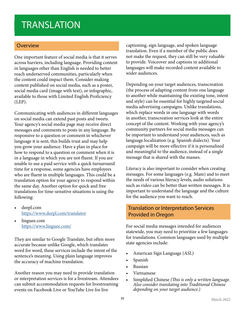### <span id="page-18-0"></span>**TRANSLATION**

#### Overview

One important feature of social media is that it serves across barriers, including language. Providing content in languages other than English is needed to better reach underserved communities, particularly when the content could impact them. Consider making content published on social media, such as a poster, social media card (image with text), or infographic, available to those with Limited English Proficiency (LEP).

Communicating with audiences in different languages on social media can extend past posts and tweets. Your agency's social media page may receive direct messages and comments to posts in any language. Be responsive to a question or comment in whichever language it is sent; this builds trust and may help you grow your audience. Have a plan in place for how to respond to a question or comment when it is in a language in which you are not fluent. If you are unable to use a paid service with a quick turnaround time for a response, some agencies have employees who are fluent in multiple languages. This could be a translation option for your agency to respond within the same day. Another option for quick and free translations for time-sensitive situations is using the following:

- deepl.com https://www.deepl.com/translator
- linguee.com https://www.linguee.com/

They are similar to Google Translate, but often more accurate because unlike Google, which translates word for word, these services include the intent of the sentence's meaning. Using plain language improves the accuracy of machine translation.

Another reason you may need to provide translation or interpretation services is for a livestream. Attendees can submit accommodation requests for livestreaming events on Facebook Live or YouTube Live for live

captioning, sign language, and spoken language translation. Even if a member of the public does not make the request, they can still be very valuable to provide. Voiceover and captions in additional languages will make recorded content available to wider audiences.

Depending on your target audiences, transcreation (the process of adapting content from one language to another while maintaining the existing tone, intent and style) can be essential for highly targeted social media advertising campaigns. Unlike translations, which replace words in one language with words in another, transcreation services look at the entire concept of the content. Working with your agency's community partners for social media messages can be important to understand your audiences, such as language localization (e.g. Spanish dialects). Your campaign will be more effective if it is personalized and meaningful to the audience, instead of a single message that is shared with the masses.

Literacy is also important to consider when creating messages. For some languages (e.g. Mam) and to meet the needs of various literacy levels, audio solutions such as video can be better than written messages. It is important to understand the language and the culture for the audience you want to reach.

#### Translation or Interpretation Services Provided in Oregon

For social media messages intended for audiences statewide, you may need to prioritize a few languages for translations. Common languages used by multiple state agencies include:

- American Sign Language (ASL)
- Spanish
- Russian
- Vietnamese
- Simplified Chinese *(This is only a written language. Also consider translating into Traditional Chinese depending on your target audience.)*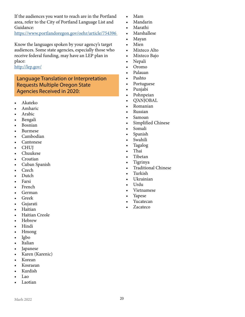<span id="page-19-0"></span>If the audiences you want to reach are in the Portland area, refer to the City of Portland Language List and Guidance:

<https://www.portlandoregon.gov/oehr/article/754396>

Know the languages spoken by your agency's target audiences. Some state agencies, especially those who receive federal funding, may have an LEP plan in place:

http://lep.gov/

#### Language Translation or Interpretation Requests Multiple Oregon State Agencies Received in 2020:

- Akateko
- Amharic
- Arabic
- Bengali
- Bosnian
- Burmese
- Cambodian
- Cantonese
- CHUJ
- Chuukese
- Croatian
- Cuban Spanish
- Czech
- Dutch
- Farsi
- French
- German
- Greek
- Gujarati
- Haitian
- Haitian Creole
- Hebrew
- Hindi
- Hmong
- Igbo
- Italian
- Japanese
- Karen (Karenic)
- Korean
- Kosraean
- Kurdish
- Lao
- Laotian
- Mam
- Mandarin
- Marathi
- Marshallese
- Mayan
- Mien
- Mixteco Alto
- Mixteco Bajo
- Nepali
- Oromo
- Palauan
- Pashto
- Portuguese
- Punjabi
- Pohnpeian
- Q'ANJOBAL
- Romanian
- Russian
- Samoan
- Simplified Chinese
- Somali
- Spanish
- Swahili
- Tagalog
- Thai
- Tibetan
- Tigrinya
- Traditional Chinese
- Turkish
- Ukrainian
- Urdu
- Vietnamese
- Yapese
- Yucatecan
- Zacateco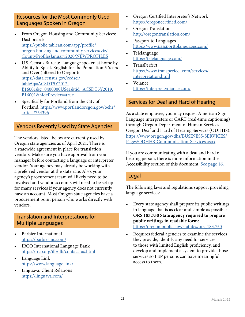#### <span id="page-20-0"></span> Resources for the Most Commonly Used Languages Spoken in Oregon

- From Oregon Housing and Community Services: Dashboard: [https://public.tableau.com/app/profile/](https://public.tableau.com/app/profile/oregon.housing.and.community.services/viz/CountyProfilesJanuary2020/NEWPROFILES) [oregon.housing.and.community.services/viz/](https://public.tableau.com/app/profile/oregon.housing.and.community.services/viz/CountyProfilesJanuary2020/NEWPROFILES) [CountyProfilesJanuary2020/NEWPROFILES](https://public.tableau.com/app/profile/oregon.housing.and.community.services/viz/CountyProfilesJanuary2020/NEWPROFILES)
- U.S. Census Bureau: Language spoken at home by Ability to Speak English for the Population 5 Years and Over (filtered to Oregon): [https://data.census.gov/cedsci/](https://data.census.gov/cedsci/table?q=ACSDT5Y2012.B16001&g=0400000US41&tid=ACSDT5Y2019.B16001&hidePreview=true) [table?q=ACSDT5Y2012.](https://data.census.gov/cedsci/table?q=ACSDT5Y2012.B16001&g=0400000US41&tid=ACSDT5Y2019.B16001&hidePreview=true) [B16001&g=0400000US41&tid=ACSDT5Y2019.](https://data.census.gov/cedsci/table?q=ACSDT5Y2012.B16001&g=0400000US41&tid=ACSDT5Y2019.B16001&hidePreview=true) [B16001&hidePreview=true](https://data.census.gov/cedsci/table?q=ACSDT5Y2012.B16001&g=0400000US41&tid=ACSDT5Y2019.B16001&hidePreview=true)
- Specifically for Portland from the City of Portland: [https://www.portlandoregon.gov/oehr/](https://www.portlandoregon.gov/oehr/article/754396) [article/754396](https://www.portlandoregon.gov/oehr/article/754396)

#### Vendors Recently Used by State Agencies

The vendors listed below are currently used by Oregon state agencies as of April 2021. There is a statewide agreement in place for translation vendors. Make sure you have approval from your manager before contacting a language or interpreter vendor. Your agency may already be working with a preferred vendor at the state rate. Also, your agency's procurement team will likely need to be involved and vendor accounts will need to be set up for many services if your agency does not currently have an account. Most Oregon state agencies have a procurement point person who works directly with vendors.

#### Translation and Interpretations for Multiple Languages

- Barbier International https://barbierinc.com/
- IRCO International Language Bank https://irco.org/ilb/ilb/contact-us.html
- Language Link https://www.language.link/
- Linguava: Client Relations https://linguava.com/
- Oregon Certified Interpreter's Network https://oregoncertified.com/
- Oregon Translation http://oregontranslation.com/
- Passport to Languages https://www.passporttolanguages.com/
- Telelanguage https://telelanguage.com/
- TransPerfect [https://www.transperfect.com/services/](https://www.transperfect.com/services/interpretation.html) [interpretation.html](https://www.transperfect.com/services/interpretation.html)
- Voiance https://interpret.voiance.com/

#### <span id="page-20-1"></span>Services for Deaf and Hard of Hearing

As a state employee, you may request American Sign Language interpreters or CART (real-time captioning) through Oregon Department of Human Services Oregon Deaf and Hard of Hearing Services (ODHHS): [https://www.oregon.gov/dhs/BUSINESS-SERVICES/](https://www.oregon.gov/dhs/BUSINESS-SERVICES/Pages/ODHHS-Communication-Services.aspx) [Pages/ODHHS-Communication-Services.aspx](https://www.oregon.gov/dhs/BUSINESS-SERVICES/Pages/ODHHS-Communication-Services.aspx)

If you are communicating with a deaf and hard of hearing person, there is more information in the Accessibility section of this document. [See page 16.](#page-15-1)

#### Legal

The following laws and regulations support providing language services:

- Every state agency shall prepare its public writings in language that is as clear and simple as possible. **ORS 183.750 State agency required to prepare public writings in readable form:** [https://oregon.public.law/statutes/ors\\_183.750](https://oregon.public.law/statutes/ors_183.750)
- Requires federal agencies to examine the services they provide, identify any need for services to those with limited English proficiency, and develop and implement a system to provide those services so LEP persons can have meaningful access to them.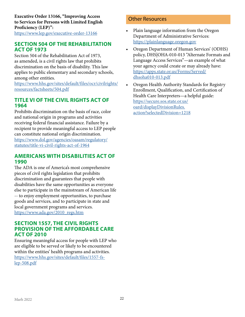<span id="page-21-0"></span>**Executive Order 13166, "Improving Access to Services for Persons with Limited English Proficiency (LEP)":**  https://www.lep.gov/executive-order-13166

#### **SECTION 504 OF THE REHABILITATION ACT OF 1973**

Section 504 of the Rehabilitation Act of 1973, as amended, is a civil rights law that prohibits discrimination on the basis of disability. This law applies to public elementary and secondary schools, among other entities.

[https://www.hhs.gov/sites/default/files/ocr/civilrights/](https://www.hhs.gov/sites/default/files/ocr/civilrights/resources/factsheets/504.pdf) [resources/factsheets/504.pdf](https://www.hhs.gov/sites/default/files/ocr/civilrights/resources/factsheets/504.pdf)

#### **TITLE VI OF THE CIVIL RIGHTS ACT OF 1964**

Prohibits discrimination on the basis of race, color and national origin in programs and activities receiving federal financial assistance. Failure by a recipient to provide meaningful access to LEP people can constitute national origin discrimination. [https://www.dol.gov/agencies/oasam/regulatory/](https://www.dol.gov/agencies/oasam/regulatory/statutes/title-vi-civil-rights-act-of-1964) [statutes/title-vi-civil-rights-act-of-1964](https://www.dol.gov/agencies/oasam/regulatory/statutes/title-vi-civil-rights-act-of-1964)

#### **AMERICANS WITH DISABILITIES ACT OF 1990**

The ADA is one of America's most comprehensive pieces of civil rights legislation that prohibits discrimination and guarantees that people with disabilities have the same opportunities as everyone else to participate in the mainstream of American life -- to enjoy employment opportunities, to purchase goods and services, and to participate in state and local government programs and services. https://www.ada.gov/2010\_regs.htm

#### **SECTION 1557, THE CIVIL RIGHTS PROVISION OF THE AFFORDABLE CARE ACT OF 2010**

Ensuring meaningful access for people with LEP who are eligible to be served or likely to be encountered within the entities' health programs and activities. [https://www.hhs.gov/sites/default/files/1557-fs](https://www.hhs.gov/sites/default/files/1557-fs-lep-508.pdf)[lep-508.pdf](https://www.hhs.gov/sites/default/files/1557-fs-lep-508.pdf)

#### Other Resources

- Plain language information from the Oregon Department of Administrative Services: https://plainlanguage.oregon.gov
- Oregon Department of Human Services' (ODHS) policy, DHS|OHA-010-013 "Alternate Formats and Language Access Services"—an example of what your agency could create or may already have: [https://apps.state.or.us/Forms/Served/](https://apps.state.or.us/Forms/Served/dhsoha010-013.pdf) [dhsoha010-013.pdf](https://apps.state.or.us/Forms/Served/dhsoha010-013.pdf)
- Oregon Health Authority Standards for Registry Enrollment, Qualification, and Certification of Health Care Interpreters—a helpful guide: [https://secure.sos.state.or.us/](https://secure.sos.state.or.us/oard/displayDivisionRules.action?selectedDivision=1218) [oard/displayDivisionRules.](https://secure.sos.state.or.us/oard/displayDivisionRules.action?selectedDivision=1218) [action?selectedDivision=1218](https://secure.sos.state.or.us/oard/displayDivisionRules.action?selectedDivision=1218)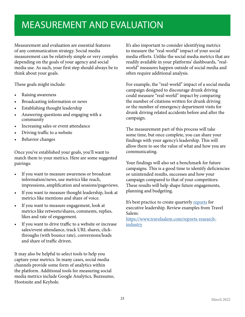### <span id="page-22-1"></span><span id="page-22-0"></span>MEASUREMENT AND EVALUATION

Measurement and evaluation are essential features of any communication strategy. Social media measurement can be relatively simple or very complex depending on the goals of your agency and social media use. As such, your first step should always be to think about your goals.

These goals might include:

- Raising awareness
- Broadcasting information or news
- Establishing thought leadership
- Answering questions and engaging with a community
- Increasing sales or event attendance
- Driving traffic to a website
- Behavior changes

Once you've established your goals, you'll want to match them to your metrics. Here are some suggested pairings:

- If you want to measure awareness or broadcast information/news, use metrics like reach, impressions, amplification and sessions/pageviews.
- If you want to measure thought leadership, look at metrics like mentions and share of voice.
- If you want to measure engagement, look at metrics like retweets/shares, comments, replies, likes and rate of engagement.
- If you want to drive traffic to a website or increase sales/event attendance, track URL shares, clickthroughs (with bounce rate), conversions/leads and share of traffic driven.

It may also be helpful to select tools to help you capture your metrics. In many cases, social media channels provide some form of analytics within the platform. Additional tools for measuring social media metrics include Google Analytics, Buzzsumo, Hootsuite and Keyhole.

It's also important to consider identifying metrics to measure the "real-world" impact of your social media efforts. Unlike the social media metrics that are readily available in your platforms' dashboards, "realworld" measures happen outside of social media and often require additional analysis.

For example, the "real-world" impact of a social media campaign designed to discourage drunk driving could measure "real-world" impact by comparing the number of citations written for drunk driving or the number of emergency department visits for drunk driving related accidents before and after the campaign.

The measurement part of this process will take some time, but once complete, you can share your findings with your agency's leadership. This will allow them to see the value of what and how you are communicating.

Your findings will also set a benchmark for future campaigns. This is a good time to identify deficiencies or unintended results, successes and how your campaign compared to that of your competitors. These results will help shape future engagements, planning and budgeting.

It's best practice to create quarterly [reports](#page-53-1) for executive leadership. Review examples from Travel Salem:

[https://www.travelsalem.com/reports-research](https://www.travelsalem.com/reports-research-industry)[industry](https://www.travelsalem.com/reports-research-industry)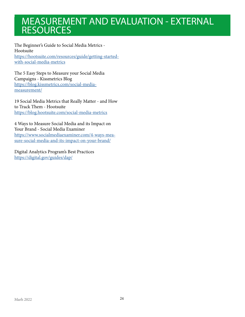### <span id="page-23-0"></span>MEASUREMENT AND EVALUATION - EXTERNAL **RESOURCES**

The Beginner's Guide to Social Media Metrics - Hootsuite [https://hootsuite.com/resources/guide/getting-started](https://hootsuite.com/resources/guide/getting-started-with-social-media-metrics)[with-social-media-metrics](https://hootsuite.com/resources/guide/getting-started-with-social-media-metrics)

The 5 Easy Steps to Measure your Social Media Campaigns - Kissmetrics Blog [https://blog.kissmetrics.com/social-media](https://blog.kissmetrics.com/social-media-measurement/)[measurement/](https://blog.kissmetrics.com/social-media-measurement/)

19 Social Media Metrics that Really Matter - and How to Track Them - Hootsuite <https://blog.hootsuite.com/social-media-metrics>

4 Ways to Measure Social Media and its Impact on Your Brand - Social Media Examiner [https://www.socialmediaexaminer.com/4-ways-mea](https://www.socialmediaexaminer.com/4-ways-measure-social-media-and-its-impact-on-your-brand/)[sure-social-media-and-its-impact-on-your-brand/](https://www.socialmediaexaminer.com/4-ways-measure-social-media-and-its-impact-on-your-brand/)

Digital Analytics Program's Best Practices <https://digital.gov/guides/dap/>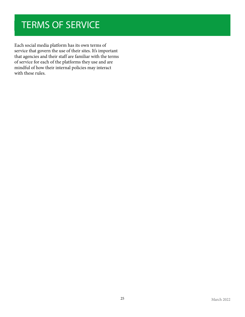### <span id="page-24-0"></span>TERMS OF SERVICE

Each social media platform has its own terms of service that govern the use of their sites. It's important that agencies and their staff are familiar with the terms of service for each of the platforms they use and are mindful of how their internal policies may interact with these rules.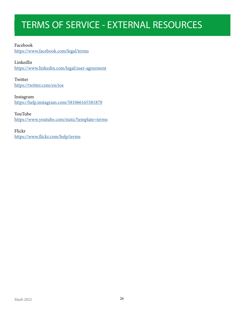### <span id="page-25-0"></span>TERMS OF SERVICE - EXTERNAL RESOURCES

<span id="page-25-1"></span>Facebook <https://www.facebook.com/legal/terms>

LinkedIn <https://www.linkedin.com/legal/user-agreement>

Twitter <https://twitter.com/en/tos>

Instagram <https://help.instagram.com/581066165581870>

YouTube <https://www.youtube.com/static?template=terms>

Flickr <https://www.flickr.com/help/terms>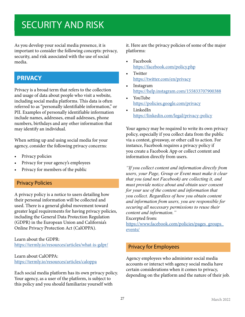### <span id="page-26-0"></span>SECURITY AND RISK

As you develop your social media presence, it is important to consider the following concepts: privacy, security, and risk associated with the use of social media.

#### **PRIVACY**

Privacy is a broad term that refers to the collection and usage of data about people who visit a website, including social media platforms. This data is often referred to as "personally identifiable information," or PII. Examples of personally identifiable information include names, addresses, email addresses, phone numbers, birthdays and any other information that may identify an individual.

When setting up and using social media for your agency, consider the following privacy concerns:

- Privacy policies
- Privacy for your agency's employees
- Privacy for members of the public

#### <span id="page-26-1"></span>Privacy Policies

A privacy policy is a notice to users detailing how their personal information will be collected and used. There is a general global movement toward greater legal requirements for having privacy policies, including the General Data Protection Regulation (GDPR) in the European Union and California's Online Privacy Protection Act (CalOPPA).

Learn about the GDPR: <https://termly.io/resources/articles/what-is-gdpr/>

#### Learn about CalOPPA: <https://termly.io/resources/articles/caloppa>

Each social media platform has its own privacy policy. Your agency, as a user of the platform, is subject to this policy and you should familiarize yourself with

it. Here are the privacy policies of some of the major platforms:

- Facebook <https://facebook.com/policy.php>
- **Twitter** <https://twitter.com/en/privacy>
- **Instagram** <https://help.instagram.com/155833707900388>
- YouTube <https://policies.google.com/privacy>
- LinkedIn <https://linkedin.com/legal/privacy-policy>

Your agency may be required to write its own privacy policy, especially if you collect data from the public via a contest, giveaway, or other call to action. For instance, Facebook requires a privacy policy if you create a Facebook App or collect content and information directly from users.

*"If you collect content and information directly from users, your Page, Group or Event must make it clear that you (and not Facebook) are collecting it, and must provide notice about and obtain user consent for your use of the content and information that you collect. Regardless of how you obtain content and information from users, you are responsible for securing all necessary permissions to reuse their content and information."*

Excerpted from:

[https://www.facebook.com/policies/pages\\_groups\\_](https://www.facebook.com/policies/pages_groups_events/) [events/](https://www.facebook.com/policies/pages_groups_events/)

#### Privacy for Employees

Agency employees who administer social media accounts or interact with agency social media have certain considerations when it comes to privacy, depending on the platform and the nature of their job.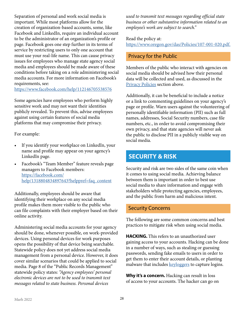<span id="page-27-0"></span>Separation of personal and work social media is important. While most platforms allow for the creation of organization-based accounts, some, like Facebook and LinkedIn, require an individual account to be the administrator of an organization's profile or page. Facebook goes one step further in its terms of service by restricting users to only one account that must use your real-life name. This can cause privacy issues for employees who manage state agency social media and employees should be made aware of these conditions before taking on a role administering social media accounts. For more information on Facebook's requirements, see:

<https://www.facebook.com/help/112146705538576>

Some agencies have employees who perform highly sensitive work and may not want their identities publicly revealed. To prevent this, advise employees against using certain features of social media platforms that may compromise their privacy.

For example:

- If you identify your workplace on LinkedIn, your name and profile may appear on your agency's LinkedIn page.
- Facebook's "Team Member" feature reveals page managers to Facebook members: [https://facebook.com/](https://facebook.com/help/1318804834897643?helppref=faq_content) [help/1318804834897643?helppref=faq\\_content](https://facebook.com/help/1318804834897643?helppref=faq_content)

Additionally, employees should be aware that identifying their workplace on any social media profile makes them more visible to the public who can file complaints with their employer based on their online activity.

Administering social media accounts for your agency should be done, whenever possible, on work-provided devices. Using personal devices for work purposes opens the possibility of that device being searchable. Statewide policy does not yet address social media management from a personal device. However, it does cover similar scenarios that could be applied to social media. Page 8 of the "Public Records Management" statewide policy states: *"Agency employees' personal electronic devices are not to be used to transmit text messages related to state business. Personal devices* 

*used to transmit text messages regarding official state business or other substantive information related to an employee's work are subject to search."*

Read the policy at: <https://www.oregon.gov/das/Policies/107-001-020.pdf>.

#### Privacy for the Public

Members of the public who interact with agencies on social media should be advised how their personal data will be collected and used, as discussed in the [Privacy Policies](#page-26-1) section above.

Additionally, it can be beneficial to include a notice or a link to commenting guidelines on your agency's page or profile. Warn users against the volunteering of personally identifiable information (PII) such as full names, addresses, Social Security numbers, case file numbers, etc., in order to avoid compromising their own privacy, and that state agencies will never ask the public to disclose PII in a publicly visible way on social media.

#### **SECURITY & RISK**

Security and risk are two sides of the same coin when it comes to using social media. Achieving balance between them is important in order to best use social media to share information and engage with stakeholders while protecting agencies, employees, and the public from harm and malicious intent.

#### Security Concerns

The following are some common concerns and best practices to mitigate risk when using social media.

**HACKING.** This refers to an unauthorized user gaining access to your accounts. Hacking can be done in a number of ways, such as stealing or guessing passwords, sending fake emails to users in order to get them to enter their account details, or planting malware that includes **keyloggers** to capture logins.

<span id="page-27-1"></span>**Why it's a concern.** Hacking can result in loss of access to your accounts. The hacker can go on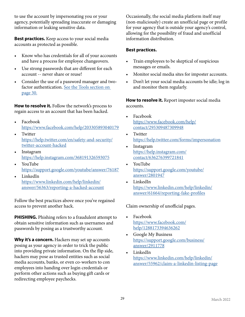to use the account by impersonating you or your agency, potentially spreading inaccurate or damaging information or leaking sensitive data.

**Best practices.** Keep access to your social media accounts as protected as possible.

- Know who has credentials for all of your accounts and have a process for employee changeovers.
- Use strong passwords that are different for each account -- never share or reuse!
- Consider the use of a password manager and twofactor authentication. [See the Tools section on](#page-29-1)  [page 30.](#page-29-1)

**How to resolve it.** Follow the network's process to regain access to an account that has been hacked.

- Facebook <https://www.facebook.com/help/203305893040179>
- Twitter [https://help.twitter.com/en/safety-and-security/](https://help.twitter.com/en/safety-and-security/twitter-account-hacked) [twitter-account-hacked](https://help.twitter.com/en/safety-and-security/twitter-account-hacked)
- Instagram <https://help.instagram.com/368191326593075>
- YouTube <https://support.google.com/youtube/answer/76187>
- LinkedIn [https://www.linkedin.com/help/linkedin/](https://www.linkedin.com/help/linkedin/answer/56363/reporting-a-hacked-account) [answer/56363/reporting-a-hacked-account](https://www.linkedin.com/help/linkedin/answer/56363/reporting-a-hacked-account)

Follow the best practices above once you've regained access to prevent another hack.

**PHISHING.** Phishing refers to a fraudulent attempt to obtain sensitive information such as usernames and passwords by posing as a trustworthy account.

Why it's a concern. Hackers may set up accounts posing as your agency in order to trick the public into providing private information. On the flip side, hackers may pose as trusted entities such as social media accounts, banks, or even co-workers to con employees into handing over login credentials or perform other actions such as buying gift cards or redirecting employee paychecks.

Occasionally, the social media platform itself may (non-maliciously) create an unofficial page or profile for your agency that is outside your agency's control, allowing for the possibility of fraud and unofficial information distribution.

#### **Best practices.**

- Train employees to be skeptical of suspicious messages or emails.
- Monitor social media sites for imposter accounts.
- Don't let your social media accounts be idle; log in and monitor them regularly.

**How to resolve it.** Report imposter social media accounts.

- Facebook [https://www.facebook.com/help/](https://www.facebook.com/help/contact/295309487309948) [contact/295309487309948](https://www.facebook.com/help/contact/295309487309948)
- **Twitter** <https://help.twitter.com/forms/impersonation>
- **Instagram** [https://help.instagram.com/](https://help.instagram.com/contact/636276399721841) [contact/636276399721841](https://help.instagram.com/contact/636276399721841)
- YouTube [https://support.google.com/youtube/](https://support.google.com/youtube/answer/2801947) [answer/2801947](https://support.google.com/youtube/answer/2801947)
- LinkedIn [https://www.linkedin.com/help/linkedin/](https://www.linkedin.com/help/linkedin/answer/61664/reporting-fake-profiles) [answer/61664/reporting-fake-profiles](https://www.linkedin.com/help/linkedin/answer/61664/reporting-fake-profiles)

Claim ownership of unofficial pages.

- Facebook [https://www.facebook.com/](https://www.facebook.com/help/1288173394636262) [help/1288173394636262](https://www.facebook.com/help/1288173394636262)
- Google My Business [https://support.google.com/business/](https://support.google.com/business/answer/2911778) [answer/2911778](https://support.google.com/business/answer/2911778)
- LinkedIn [https://www.linkedin.com/help/linkedin/](https://www.linkedin.com/help/linkedin/answer/55962/claim-a-linkedin-listing-page) [answer/55962/claim-a-linkedin-listing-page](https://www.linkedin.com/help/linkedin/answer/55962/claim-a-linkedin-listing-page)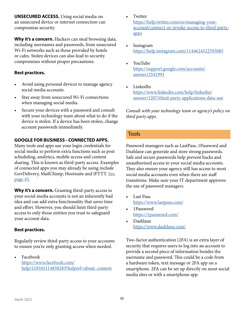<span id="page-29-0"></span>**UNSECURED ACCESS.** Using social media on an unsecured device or internet connection can compromise security.

**Why it's a concern.** Hackers can steal browsing data, including usernames and passwords, from unsecured Wi-Fi networks such as those provided by hotels or cafes. Stolen devices can also lead to security compromises without proper precautions.

#### **Best practices.**

- Avoid using personal devices to manage agency social media accounts.
- Stay away from unsecured Wi-Fi connections when managing social media.
- Secure your devices with a password and consult with your technology team about what to do if the device is stolen. If a device has been stolen, change account passwords immediately.

#### **GOOGLE FOR BUSINESS - CONNECTED APPS.**

Many tools and apps use your login credentials for social media to perform extra functions such as post scheduling, analytics, mobile access and content sharing. This is known as third-party access. Examples of connected apps you may already be using include GovDelivery, MailChimp, Hootsuite and IFTTT. See [page 45.](#page-44-0)

**Why it's a concern.** Granting third-party access to your social media accounts is not an inherently bad idea and can add extra functionality that saves time and effort. However, you should limit third-party access to only those entities you trust to safeguard your account data.

#### **Best practices.**

Regularly review third-party access to your accounts to ensure you're only granting access when needed.

• Facebook [https://www.facebook.com/](https://www.facebook.com/help/218345114850283?helpref=about_content ) [help/218345114850283?helpref=about\\_content](https://www.facebook.com/help/218345114850283?helpref=about_content )

- **Twitter** [https://help.twitter.com/en/managing-your](https://help.twitter.com/en/managing-your-account/connect-or-revoke-access-to-third-party-apps)[account/connect-or-revoke-access-to-third-party](https://help.twitter.com/en/managing-your-account/connect-or-revoke-access-to-third-party-apps)[apps](https://help.twitter.com/en/managing-your-account/connect-or-revoke-access-to-third-party-apps)
- Instagram <https://help.instagram.com/1144624522593085>
- YouTube [https://support.google.com/accounts/](https://support.google.com/accounts/answer/2541991) [answer/2541991](https://support.google.com/accounts/answer/2541991)
- LinkedIn [https://www.linkedin.com/help/linkedin/](https://www.linkedin.com/help/linkedin/answer/1207/third-party-applications-data-use) [answer/1207/third-party-applications-data-use](https://www.linkedin.com/help/linkedin/answer/1207/third-party-applications-data-use)

*Consult with your technology team or agency's policy on third party apps.*

#### Tools

<span id="page-29-1"></span>Password managers such as LastPass, 1Password and Dashlane can generate and store strong passwords. Safe and secure passwords help prevent hacks and unauthorized access to your social media accounts. They also ensure your agency still has access to most social media accounts even when there are staff transitions. Make sure your IT department approves the use of password managers.

- Last Pass <https://www.lastpass.com/>
- 1Password <https://1password.com/>
- Dashlane <https://www.dashlane.com/>

Two-factor authentication (2FA) is an extra layer of security that requires users to log into an account to provide a second piece of information besides the username and password. This could be a code from a hardware token, text message or 2FA app on a smartphone. 2FA can be set up directly on most social media sites or with a smartphone app.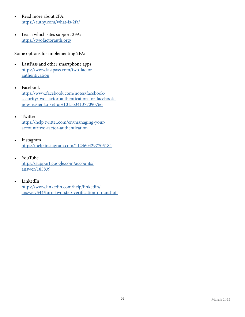- Read more about 2FA: <https://authy.com/what-is-2fa/>
- Learn which sites support 2FA: <https://twofactorauth.org/>

Some options for implementing 2FA:

- LastPass and other smartphone apps [https://www.lastpass.com/two-factor](https://www.lastpass.com/two-factor-authentication)[authentication](https://www.lastpass.com/two-factor-authentication)
- Facebook [https://www.facebook.com/notes/facebook](https://www.facebook.com/notes/facebook-security/two-factor-authentication-for-facebook-now-easier-to-set-up/10155341377090766)[security/two-factor-authentication-for-facebook](https://www.facebook.com/notes/facebook-security/two-factor-authentication-for-facebook-now-easier-to-set-up/10155341377090766)[now-easier-to-set-up/10155341377090766](https://www.facebook.com/notes/facebook-security/two-factor-authentication-for-facebook-now-easier-to-set-up/10155341377090766)

#### • Twitter [https://help.twitter.com/en/managing-your](https://help.twitter.com/en/managing-your-account/two-factor-authentication)[account/two-factor-authentication](https://help.twitter.com/en/managing-your-account/two-factor-authentication)

- Instagram <https://help.instagram.com/1124604297705184>
- YouTube [https://support.google.com/accounts/](https://support.google.com/accounts/answer/185839) [answer/185839](https://support.google.com/accounts/answer/185839)
- LinkedIn [https://www.linkedin.com/help/linkedin/](https://www.linkedin.com/help/linkedin/answer/544/turn-two-step-verification-on-and-off) [answer/544/turn-two-step-verification-on-and-off](https://www.linkedin.com/help/linkedin/answer/544/turn-two-step-verification-on-and-off)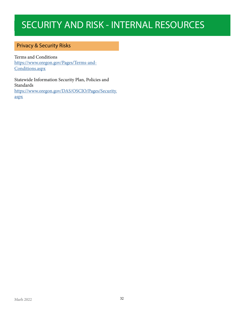### <span id="page-31-0"></span>SECURITY AND RISK - INTERNAL RESOURCES

#### Privacy & Security Risks

Terms and Conditions [https://www.oregon.gov/Pages/Terms-and-](https://www.oregon.gov/Pages/Terms-and-Conditions.aspx)[Conditions.aspx](https://www.oregon.gov/Pages/Terms-and-Conditions.aspx)

Statewide Information Security Plan, Policies and Standards [https://www.oregon.gov/DAS/OSCIO/Pages/Security.](https://www.oregon.gov/DAS/OSCIO/Pages/Security.aspx) [aspx](https://www.oregon.gov/DAS/OSCIO/Pages/Security.aspx)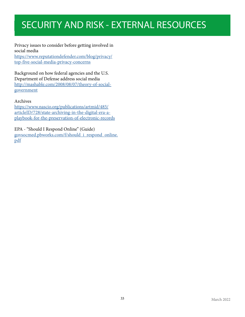### <span id="page-32-0"></span>SECURITY AND RISK - EXTERNAL RESOURCES

Privacy issues to consider before getting involved in social media

[https://www.reputationdefender.com/blog/privacy/](https://www.reputationdefender.com/blog/privacy/top-five-social-media-privacy-concerns) [top-five-social-media-privacy-concerns](https://www.reputationdefender.com/blog/privacy/top-five-social-media-privacy-concerns)

Background on how federal agencies and the U.S. Department of Defense address social media [http://mashable.com/2008/08/07/theory-of-social](http://mashable.com/2008/08/07/theory-of-social-government)[government](http://mashable.com/2008/08/07/theory-of-social-government)

#### Archives

[https://www.nascio.org/publications/artmid/485/](https://www.nascio.org/publications/artmid/485/articleID/728/state-archiving-in-the-digital-era-a-pl) [articleID/728/state-archiving-in-the-digital-era-a](https://www.nascio.org/publications/artmid/485/articleID/728/state-archiving-in-the-digital-era-a-pl)[playbook-for-the-preservation-of-electronic-records](https://www.nascio.org/publications/artmid/485/articleID/728/state-archiving-in-the-digital-era-a-pl)

EPA - "Should I Respond Online" (Guide)

[govsocmed.pbworks.com/f/should\\_i\\_respond\\_online.](http://govsocmed.pbworks.com/f/should_i_respond_online.pdf) [pdf](http://govsocmed.pbworks.com/f/should_i_respond_online.pdf)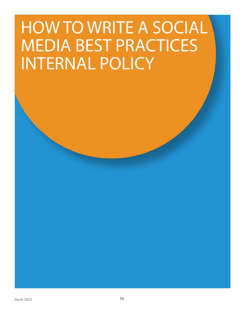## <span id="page-33-0"></span>HOW TO WRITE A SOCIAL MEDIA BEST PRACTICES INTERNAL POLICY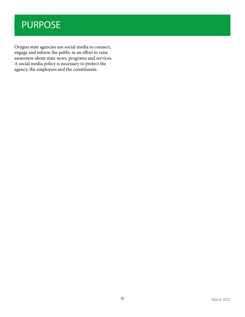### <span id="page-34-0"></span>PURPOSE

Oregon state agencies use social media to connect, engage and inform the public in an effort to raise awareness about state news, programs and services. A social media policy is necessary to protect the agency, the employees and the constituents.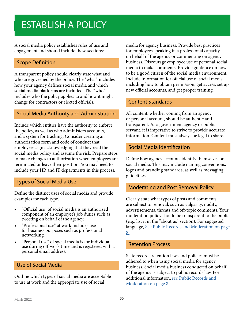### <span id="page-35-0"></span>ESTABLISH A POLICY

A social media policy establishes rules of use and engagement and should include these sections:

#### Scope Definition

A transparent policy should clearly state what and who are governed by the policy. The "what" includes how your agency defines social media and which social media platforms are included. The "who" includes who the policy applies to and how it might change for contractors or elected officials.

#### Social Media Authority and Administration

Include which entities have the authority to enforce the policy, as well as who administers accounts, and a system for tracking. Consider creating an authorization form and code of conduct that employees sign acknowledging that they read the social media policy and assume the risk. Prepare steps to make changes to authorization when employees are terminated or leave their position. You may need to include your HR and IT departments in this process.

#### Types of Social Media Use

Define the distinct uses of social media and provide examples for each type.

- "Official use" of social media is an authorized component of an employee's job duties such as tweeting on behalf of the agency.
- "Professional use" at work includes use for business purposes such as professional networking.
- "Personal use" of social media is for individual use during off-work time and is registered with a personal email address.

#### Use of Social Media

Outline which types of social media are acceptable to use at work and the appropriate use of social

media for agency business. Provide best practices for employees speaking in a professional capacity on behalf of the agency or commenting on agency business. Discourage employee use of personal social media to make comments. Provide guidance on how to be a good citizen of the social media environment. Include information for official use of social media including how to obtain permission, get access, set up new official accounts, and get proper training.

#### Content Standards

All content, whether coming from an agency or personal account, should be authentic and transparent. As a government agency or public servant, it is imperative to strive to provide accurate information. Content must always be legal to share.

#### Social Media Identification

Define how agency accounts identify themselves on social media. This may include naming conventions, logos and branding standards, as well as messaging guidelines.

#### Moderating and Post Removal Policy

Clearly state what types of posts and comments are subject to removal, such as vulgarity, nudity, advertisements, threats and off-topic comments. Your moderation policy should be transparent to the public (e.g., list it in the "about us" section). For suggested language, S[ee Public Records and Moderation on page](#page-7-1)  [8.](#page-7-1)

#### Retention Process

State records retention laws and policies must be adhered to when using social media for agency business. Social media business conducted on behalf of the agency is subject to public records law. For additional information, [see Public Records and](#page-7-1)  [Moderation on page 8.](#page-7-1)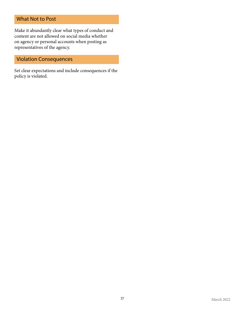#### <span id="page-36-0"></span>What Not to Post

Make it abundantly clear what types of conduct and content are not allowed on social media whether on agency or personal accounts when posting as representatives of the agency.

#### Violation Consequences

Set clear expectations and include consequences if the policy is violated.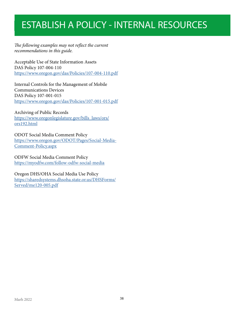### <span id="page-37-0"></span>ESTABLISH A POLICY - INTERNAL RESOURCES

*The following examples may not reflect the current recommendations in this guide.*

Acceptable Use of State Information Assets DAS Policy 107-004-110 <https://www.oregon.gov/das/Policies/107-004-110.pdf>

Internal Controls for the Management of Mobile Communications Devices DAS Policy 107-001-015 <https://www.oregon.gov/das/Policies/107-001-015.pdf>

#### Archiving of Public Records

[https://www.oregonlegislature.gov/bills\\_laws/ors/](https://www.oregonlegislature.gov/bills_laws/ors/ors192.html) [ors192.html](https://www.oregonlegislature.gov/bills_laws/ors/ors192.html)

#### ODOT Social Media Comment Policy

[https://www.oregon.gov/ODOT/Pages/Social-Media-](https://www.oregon.gov/ODOT/Pages/Social-Media-Comment-Policy.aspx)[Comment-Policy.aspx](https://www.oregon.gov/ODOT/Pages/Social-Media-Comment-Policy.aspx)

#### ODFW Social Media Comment Policy

<https://myodfw.com/follow-odfw-social-media>

#### Oregon DHS/OHA Social Media Use Policy

[https://sharedsystems.dhsoha.state.or.us/DHSForms/](https://sharedsystems.dhsoha.state.or.us/DHSForms/Served/me120-005.pdf) [Served/me120-005.pdf](https://sharedsystems.dhsoha.state.or.us/DHSForms/Served/me120-005.pdf)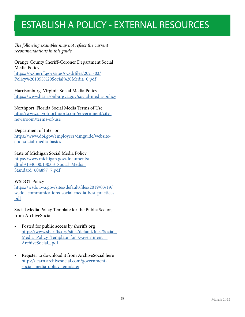### <span id="page-38-0"></span>ESTABLISH A POLICY - EXTERNAL RESOURCES

#### *The following examples may not reflect the current recommendations in this guide.*

Orange County Sheriff-Coroner Department Social Media Policy [https://ocsheriff.gov/sites/ocsd/files/2021-03/](https://ocsheriff.gov/sites/ocsd/files/2021-03/Policy%201055%20Social%20Media_0.pdf) [Policy%201055%20Social%20Media\\_0.pdf](https://ocsheriff.gov/sites/ocsd/files/2021-03/Policy%201055%20Social%20Media_0.pdf)

Harrisonburg, Virginia Social Media Policy <https://www.harrisonburgva.gov/social-media-policy>

Northport, Florida Social Media Terms of Use [http://www.cityofnorthport.com/government/city](http://www.cityofnorthport.com/government/city-newsroom/terms-of-use)[newsroom/terms-of-use](http://www.cityofnorthport.com/government/city-newsroom/terms-of-use)

#### Department of Interior

[https://www.doi.gov/employees/dmguide/website](https://www.doi.gov/employees/dmguide/website-and-social-media-basics)[and-social-media-basics](https://www.doi.gov/employees/dmguide/website-and-social-media-basics)

State of Michigan Social Media Policy [https://www.michigan.gov/documents/](https://www.michigan.gov/documents/dtmb/1340.00.130.03_Social_Media_Standard_604897_7.pdf) [dtmb/1340.00.130.03\\_Social\\_Media\\_](https://www.michigan.gov/documents/dtmb/1340.00.130.03_Social_Media_Standard_604897_7.pdf) [Standard\\_604897\\_7.pdf](https://www.michigan.gov/documents/dtmb/1340.00.130.03_Social_Media_Standard_604897_7.pdf)

#### WSDOT Policy

[https://wsdot.wa.gov/sites/default/files/2019/03/19/](https://wsdot.wa.gov/sites/default/files/2019/03/19/wsdot-communications-social-media-best-practices.pdf) [wsdot-communications-social-media-best-practices.](https://wsdot.wa.gov/sites/default/files/2019/03/19/wsdot-communications-social-media-best-practices.pdf) [pdf](https://wsdot.wa.gov/sites/default/files/2019/03/19/wsdot-communications-social-media-best-practices.pdf)

Social Media Policy Template for the Public Sector, from ArchiveSocial:

- Posted for public access by sheriffs.org [https://www.sheriffs.org/sites/default/files/Social\\_](https://www.sheriffs.org/sites/default/files/Social_Media_Policy_Template_for_Government__ArchiveSocial_.pdf) Media\_Policy\_Template\_for\_Government ArchiveSocial .pdf
- Register to download it from ArchiveSocial here [https://learn.archivesocial.com/government](https://learn.archivesocial.com/government-social-media-policy-template/)[social-media-policy-template/](https://learn.archivesocial.com/government-social-media-policy-template/)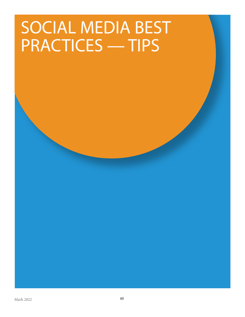## <span id="page-39-0"></span>SOCIAL MEDIA BEST PRACTICES — TIPS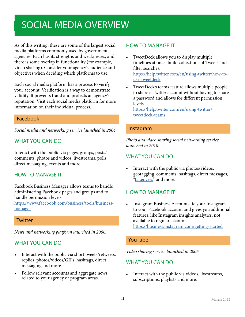### <span id="page-40-1"></span><span id="page-40-0"></span>SOCIAL MEDIA OVERVIEW

As of this writing, these are some of the largest social media platforms commonly used by government agencies. Each has its strengths and weaknesses, and there is some overlap in functionality (for example, video sharing). Consider your agency's audience and objectives when deciding which platforms to use.

Each social media platform has a process to verify your account. Verification is a way to demonstrate validity. It prevents fraud and protects an agency's reputation. Visit each social media platform for more information on their individual process.

#### Facebook

*Social media and networking service launched in 2004.*

#### WHAT YOU CAN DO

Interact with the public via pages, groups, posts/ comments, photos and videos, livestreams, polls, direct messaging, events and more.

#### HOW TO MANAGE IT

Facebook Business Manager allows teams to handle administering Facebook pages and groups and to handle permission levels.

[https://www.facebook.com/business/tools/business](https://www.facebook.com/business/tools/business-manager)[manager](https://www.facebook.com/business/tools/business-manager)

#### **Twitter**

*News and networking platform launched in 2006.*

#### WHAT YOU CAN DO

- Interact with the public via short tweets/retweets, replies, photos/videos/GIFs, hashtags, direct messaging and more.
- Follow relevant accounts and aggregate news related to your agency or program areas.

#### HOW TO MANAGE IT

- TweetDeck allows you to display multiple timelines at once, build collections of Tweets and filter searches. [https://help.twitter.com/en/using-twitter/how-to](https://help.twitter.com/en/using-twitter/how-to-use-tweetdeck)[use-tweetdeck](https://help.twitter.com/en/using-twitter/how-to-use-tweetdeck)
- TweetDeck's teams feature allows multiple people to share a Twitter account without having to share a password and allows for different permission levels.

[https://help.twitter.com/en/using-twitter/](https://help.twitter.com/en/using-twitter/tweetdeck-teams) [tweetdeck-teams](https://help.twitter.com/en/using-twitter/tweetdeck-teams)

#### Instagram

*Photo and video sharing social networking service launched in 2010.*

#### WHAT YOU CAN DO

• Interact with the public via photos/videos, geotagging, comments, hashtags, direct messages, ["takeovers](#page-53-1)" and more.

#### HOW TO MANAGE IT

• Instagram Business Accounts tie your Instagram to your Facebook account and gives you additional features, like Instagram insights analytics, not available to regular accounts. <https://business.instagram.com/getting-started>

#### YouTube

*Video sharing service launched in 2005.*

#### WHAT YOU CAN DO

Interact with the public via videos, livestreams, subscriptions, playlists and more.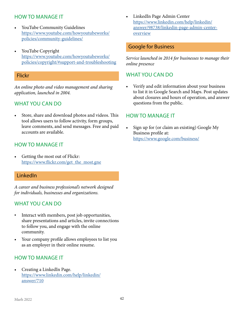#### <span id="page-41-0"></span>HOW TO MANAGE IT

- YouTube Community Guidelines [https://www.youtube.com/howyoutubeworks/](https://www.youtube.com/howyoutubeworks/policies/community-guidelines/) [policies/community-guidelines/](https://www.youtube.com/howyoutubeworks/policies/community-guidelines/)
- YouTube Copyright [https://www.youtube.com/howyoutubeworks/](https://www.youtube.com/howyoutubeworks/policies/copyright/#support-and-troubleshooting) [policies/copyright/#support-and-troubleshooting](https://www.youtube.com/howyoutubeworks/policies/copyright/#support-and-troubleshooting)

#### Flickr

*An online photo and video management and sharing application, launched in 2004.*

#### WHAT YOU CAN DO

• Store, share and download photos and videos. This tool allows users to follow activity, form groups, leave comments, and send messages. Free and paid accounts are available.

#### HOW TO MANAGE IT

Getting the most out of Flickr: [https://www.flickr.com/get\\_the\\_most.gne](https://www.flickr.com/get_the_most.gne)

#### LinkedIn

*A career and business professional's network designed for individuals, businesses and organizations.*

#### WHAT YOU CAN DO

- Interact with members, post job opportunities, share presentations and articles, invite connections to follow you, and engage with the online community.
- Your company profile allows employees to list you as an employer in their online resume.

#### HOW TO MANAGE IT

• Creating a LinkedIn Page. [https://www.linkedin.com/help/linkedin/](https://www.linkedin.com/help/linkedin/answer/710) [answer/710](https://www.linkedin.com/help/linkedin/answer/710)

• LinkedIn Page Admin Center [https://www.linkedin.com/help/linkedin/](https://www.linkedin.com/help/linkedin/answer/98738/linkedin-page-admin-center-overview) [answer/98738/linkedin-page-admin-center](https://www.linkedin.com/help/linkedin/answer/98738/linkedin-page-admin-center-overview)[overview](https://www.linkedin.com/help/linkedin/answer/98738/linkedin-page-admin-center-overview)

#### Google for Business

*Service launched in 2014 for businesses to manage their online presence*

#### WHAT YOU CAN DO

• Verify and edit information about your business to list it in Google Search and Maps. Post updates about closures and hours of operation, and answer questions from the public.

#### HOW TO MANAGE IT

• Sign up for (or claim an existing) Google My Business profile at: <https://www.google.com/business/>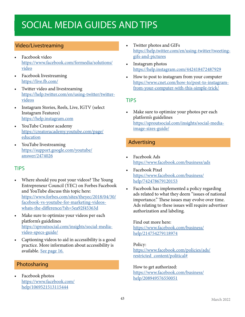### <span id="page-42-0"></span>SOCIAL MEDIA GUIDES AND TIPS

#### Video/Livestreaming

- Facebook video [https://www.facebook.com/formedia/solutions/](https://www.facebook.com/formedia/solutions/video) [video](https://www.facebook.com/formedia/solutions/video)
- Facebook livestreaming <https://live.fb.com/>
- Twitter video and livestreaming [https://help.twitter.com/en/using-twitter/twitter](https://help.twitter.com/en/using-twitter/twitter-videos)[videos](https://help.twitter.com/en/using-twitter/twitter-videos)
- Instagram Stories, Reels, Live, IGTV (select Instagram Features) <https://help.instagram.com>
- YouTube Creator academy [https://creatoracademy.youtube.com/page/](https://creatoracademy.youtube.com/page/education) [education](https://creatoracademy.youtube.com/page/education)
- YouTube livestreaming [https://support.google.com/youtube/](https://support.google.com/youtube/answer/2474026) [answer/2474026](https://support.google.com/youtube/answer/2474026)

#### TIPS

- Where should you post your videos? The Young Entrepreneur Council (YEC) on Forbes Facebook and YouTube discuss this topic here: [https://www.forbes.com/sites/theyec/2018/04/30/](https://www.forbes.com/sites/theyec/2018/04/30/facebook-vs-youtube-for-marketing-videos-whats-the-difference/?sh=5ea92f45363d) [facebook-vs-youtube-for-marketing-videos](https://www.forbes.com/sites/theyec/2018/04/30/facebook-vs-youtube-for-marketing-videos-whats-the-difference/?sh=5ea92f45363d)[whats-the-difference/?sh=5ea92f45363d](https://www.forbes.com/sites/theyec/2018/04/30/facebook-vs-youtube-for-marketing-videos-whats-the-difference/?sh=5ea92f45363d)
- Make sure to optimize your videos per each platform's guidelines [https://sproutsocial.com/insights/social-media](https://sproutsocial.com/insights/social-media-video-specs-guide/)[video-specs-guide/](https://sproutsocial.com/insights/social-media-video-specs-guide/)
- Captioning videos to aid in accessibility is a good practice. More information about accessibility is available. [See page 16](#page-15-1).

#### Photosharing

• Facebook photos [https://www.facebook.com/](https://www.facebook.com/help/1069521513115444) [help/1069521513115444](https://www.facebook.com/help/1069521513115444)

- Twitter photos and GIFs [https://help.twitter.com/en/using-twitter/tweeting](https://help.twitter.com/en/using-twitter/tweeting-gifs-and-pictures)[gifs-and-pictures](https://help.twitter.com/en/using-twitter/tweeting-gifs-and-pictures)
- Instagram photos <https://help.instagram.com/442418472487929>
- How to post to instagram from your computer [https://www.cnet.com/how-to/post-to-instagram](https://www.cnet.com/how-to/post-to-instagram-from-your-computer-with-this-simple-trick/)[from-your-computer-with-this-simple-trick/](https://www.cnet.com/how-to/post-to-instagram-from-your-computer-with-this-simple-trick/)

#### TIPS

Make sure to optimize your photos per each platform's guidelines [https://sproutsocial.com/insights/social-media](https://sproutsocial.com/insights/social-media-image-sizes-guide/)[image-sizes-guide/](https://sproutsocial.com/insights/social-media-image-sizes-guide/)

#### Advertising

- Facebook Ads <https://www.facebook.com/business/ads>
- Facebook Pixel [https://www.facebook.com/business/](https://www.facebook.com/business/help/742478679120153) [help/742478679120153](https://www.facebook.com/business/help/742478679120153)
- Facebook has implemented a policy regarding ads related to what they deem "issues of national importance." These issues may evolve over time. Ads relating to these issues will require advertiser authorization and labeling.

#### Find out more here:

[https://www.facebook.com/business/](https://www.facebook.com/business/help/214754279118974) [help/214754279118974](https://www.facebook.com/business/help/214754279118974)

#### Policy:

[https://www.facebook.com/policies/ads/](https://www.facebook.com/policies/ads/restricted_content/political#) [restricted\\_content/political#](https://www.facebook.com/policies/ads/restricted_content/political#)

#### How to get authorized:

[https://www.facebook.com/business/](https://www.facebook.com/business/help/208949576550051) [help/208949576550051](https://www.facebook.com/business/help/208949576550051)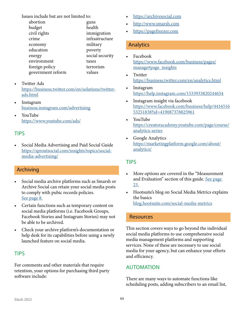<span id="page-43-0"></span>Issues include but are not limited to:

| abortion          | guns            |
|-------------------|-----------------|
| budget            | health          |
| civil rights      | immigration     |
| crime             | infrastructure  |
| economy           | military        |
| education         | poverty         |
| energy            | social security |
| environment       | taxes           |
| foreign policy    | terrorism       |
| government reform | values          |

- Twitter Ads [https://business.twitter.com/en/solutions/twitter](https://business.twitter.com/en/solutions/twitter-ads.html )[ads.html](https://business.twitter.com/en/solutions/twitter-ads.html )
- Instagram [business.instagram.com/advertising](http://business.instagram.com/advertising)
- YouTube <https://www.youtube.com/ads/>

#### TIPS

• Social Media Advertising and Paid Social Guide [https://sproutsocial.com/insights/topics/social](https://sproutsocial.com/insights/topics/social-media-advertising/)[media-advertising/](https://sproutsocial.com/insights/topics/social-media-advertising/)

#### <span id="page-43-1"></span>Archiving

- Social media archive platforms such as Smarsh or Archive Social can retain your social media posts to comply with pubic records policies. [See page 8](#page-7-2).
- Certain functions such as temporary content on social media platforms (i.e. Facebook Groups, Facebook Stories and Instagram Stories) may not be able to be archived.
- Check your archive platform's documentation or help desk for its capabilities before using a newly launched feature on social media.

#### TIPS

For comments and other materials that require retention, your options for purchasing third party software include:

- <https://archivesocial.com>
- <http://www.smarsh.com>
- <https://pagefreezer.com>

#### Analytics

- Facebook [https://www.facebook.com/business/pages/](https://www.facebook.com/business/pages/manage#page_insights) [manage#page\\_insights](https://www.facebook.com/business/pages/manage#page_insights)
- **Twitter** [https://business.twitter.com/en/analytics.htm](https://business.twitter.com/en/analytics.html)l
- **Instagram** <https://help.instagram.com/1533933820244654>
- Instagram insight via facebook [https://www.facebook.com/business/help/4416516](https://www.facebook.com/business/help/441651653251838?id=419087378825961) [53251838?id=419087378825961](https://www.facebook.com/business/help/441651653251838?id=419087378825961)
- YouTube [https://creatoracademy.youtube.com/page/course/](https://creatoracademy.youtube.com/page/course/analytics-series) [analytics-series](https://creatoracademy.youtube.com/page/course/analytics-series)
- Google Analytics [https://marketingplatform.google.com/about/](https://marketingplatform.google.com/about/analytics/) [analytics/](https://marketingplatform.google.com/about/analytics/)

#### TIPS

- More options are covered in the "Measurement and Evaluation" section of this guide. [See page](#page-22-1)  [23.](#page-22-1)
- Hootsuite's blog on Social Media Metrics explains the basics [blog.hootsuite.com/social-media-metrics](http://blog.hootsuite.com/social-media-metrics )

#### Resources

This section covers ways to go beyond the individual social media platforms to use comprehensive social media management platforms and supporting services. None of these are necessary to use social media for your agency, but can enhance your efforts and efficiency.

#### AUTOMATION

There are many ways to automate functions like scheduling posts, adding subscribers to an email list,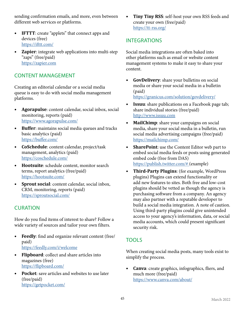sending confirmation emails, and more, even between different web services or platforms.

- **• IFTTT**: create "applets" that connect apps and devices (free) <https://ifttt.com/>
- **• Zapier**: integrate web applications into multi-step "zaps" (free/paid) <https://zapier.com>

#### CONTENT MANAGEMENT

Creating an editorial calendar or a social media queue is easy to do with social media management platforms.

- **• Agorapulse**: content calendar, social inbox, social monitoring, reports (paid) <https://www.agorapulse.com/>
- **• Buffer**: maintains social media queues and tracks basic analytics (paid) <https://buffer.com/>
- **• CoSchedule**: content calendar, project/task management, analytics (paid) <https://coschedule.com/>
- **• Hootsuite**: schedule content, monitor search terms, report analytics (free/paid) <https://hootsuite.com/>
- **• Sprout social**: content calendar, social inbox, CRM, monitoring, reports (paid) <https://sproutsocial.com/>

#### CURATION

How do you find items of interest to share? Follow a wide variety of sources and tailor your own filters.

- **• Feedly**: find and organize relevant content (free/ paid) <https://feedly.com/i/welcome>
- **• Flipboard**: collect and share articles into magazines (free) <https://flipboard.com/>
- **• Pocket**: save articles and websites to use later (free/paid) <https://getpocket.com/>

**• Tiny Tiny RSS**: self-host your own RSS feeds and create your own (free/paid) <https://tt-rss.org/>

#### <span id="page-44-0"></span>INTEGRATIONS

Social media integrations are often baked into other platforms such as email or website content management systems to make it easy to share your content.

**• GovDelivery**: share your bulletins on social media or share your social media in a bulletin (paid)

<https://granicus.com/solution/govdelivery/>

- **• Issuu**: share publications on a Facebook page tab; share individual stories (free/paid) <http://www.issuu.com>
- **• MailChimp**: share your campaigns on social media, share your social media in a bulletin, run social media advertising campaigns (free/paid) <https://mailchimp.com/>
- **• SharePoint**: use the Content Editor web part to embed social media feeds or posts using generated embed code (free from DAS) <https://publish.twitter.com/#> (example)
- **• Third-Party Plugins**: (for example, WordPress plugins) Plugins can extend functionality or add new features to sites. Both free and low-cost plugins should be vetted as though the agency is purchasing software from a company. An agency may also partner with a reputable developer to build a social media integration. A note of caution. Using third-party plugins could give unintended access to your agency's information, data, or social media accounts, which could present significant security risk.

#### TOOLS

When creating social media posts, many tools exist to simplify the process.

**• Canva**: create graphics, infographics, fliers, and much more (free/paid) https://www.canva.com/about/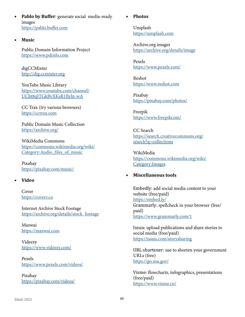- **• Pablo by Buffer**: generate social media-ready images <https://pablo.buffer.com>
- **• Music**

Public Domain Information Project <https://www.pdinfo.com>

digCCMixter <http://dig.ccmixter.org>

YouTube Music Library [https://www.youtube.com/channel/](https://www.youtube.com/channel/UCht8qITGkBvXKsR1Byln-wA) [UCht8qITGkBvXKsR1Byln-wA](https://www.youtube.com/channel/UCht8qITGkBvXKsR1Byln-wA)

CC Trax (try various browsers) <https://cctrax.com>

Public Domain Music Collection <https://archive.org/>

WikiMedia Commons [https://commons.wikimedia.org/wiki/](https://commons.wikimedia.org/wiki/Category:Audio_files_of_music ) Category:Audio files of music

Pixabay https://pixabay.com/music/

#### **• Video**

Cover <https://coverr.co>

Internet Archive Stock Footage [https://archive.org/details/stock\\_footage](https://archive.org/details/stock_footage)

Mazwai <https://mazwai.com>

Videezy <https://www.videezy.com/>

Pexels https://www.pexels.com/videos/

Pixabay https://pixabay.com/videos/

#### **• Photos**

Unsplash <https://unsplash.com>

Archive.org images <https://archive.org/details/image>

Pexels <https://www.pexels.com/>

Reshot <https://www.reshot.com>

Pixabay https://pixabay.com/photos/

Freepik [https://www.freepikcom/](https://www.freepik.com/)

CC Search [https://search.creativecommons.org/](https://search.creativecommons.org/search?q=collections) [search?q=collections](https://search.creativecommons.org/search?q=collections)

WikiMedia [https://commons.wikimedia.org/wiki/](https://commons.wikimedia.org/wiki/Category:Images) [Category:Images](https://commons.wikimedia.org/wiki/Category:Images)

#### **• Miscellaneous tools**

Embedly: add social media content to your website (free/paid) <https://embed.ly/> Grammarly: spellcheck in your browser (free/ paid) <https://www.grammarly.com/1>

Issuu: upload publications and share stories to social media (free/paid) <https://issuu.com/storysharing>

URL shortener: use to shorten your government URLs (free) <https://go.usa.gov/>

Visme: flowcharts, infographics, presentations (free/paid) <https://www.visme.co/>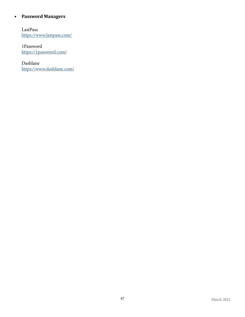#### **• Password Managers**

LastPass <https://www.lastpass.com/>

1Password <https://1password.com/>

Dashlane <https://www.dashlane.com/>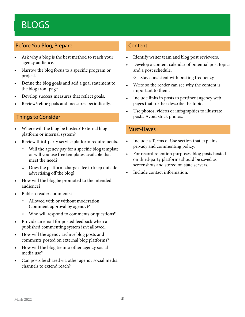### <span id="page-47-0"></span>BLOGS

#### Before You Blog, Prepare

- Ask why a blog is the best method to reach your agency audience.
- Narrow the blog focus to a specific program or project.
- Define the blog goals and add a goal statement to the blog front page.
- Develop success measures that reflect goals.
- Review/refine goals and measures periodically.

#### Things to Consider

- Where will the blog be hosted? External blog platform or internal system?
- Review third-party service platform requirements.
	- Will the agency pay for a specific blog template or will you use free templates available that meet the need?
	- Does the platform charge a fee to keep outside advertising off the blog?
- How will the blog be promoted to the intended audience?
- Publish reader comments?
	- Allowed with or without moderation (comment approval by agency)?
	- Who will respond to comments or questions?
- Provide an email for posted feedback when a published commenting system isn't allowed.
- How will the agency archive blog posts and comments posted on external blog platforms?
- How will the blog tie into other agency social media use?
- Can posts be shared via other agency social media channels to extend reach?

#### **Content**

- Identify writer team and blog post reviewers.
- Develop a content calendar of potential post topics and a post schedule.
	- Stay consistent with posting frequency.
- Write so the reader can see why the content is important to them.
- Include links in posts to pertinent agency web pages that further describe the topic.
- Use photos, videos or infographics to illustrate posts. Avoid stock photos.

#### Must-Haves

- Include a Terms of Use section that explains privacy and commenting policy.
- For record retention purposes, blog posts hosted on third-party platforms should be saved as screenshots and stored on state servers.
- Include contact information.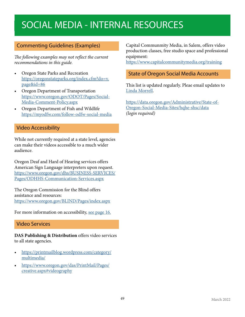### <span id="page-48-0"></span>SOCIAL MEDIA - INTERNAL RESOURCES

#### Commenting Guidelines (Examples)

*The following examples may not reflect the current recommendations in this guide.*

- Oregon State Parks and Recreation [https://oregonstateparks.org/index.cfm?do=v.](https://oregonstateparks.org/index.cfm?do=v.page&id=86) [page&id=86](https://oregonstateparks.org/index.cfm?do=v.page&id=86)
- Oregon Department of Transportation [https://www.oregon.gov/ODOT/Pages/Social-](https://www.oregon.gov/ODOT/Pages/Social-Media-Comment-Policy.aspx)[Media-Comment-Policy.aspx](https://www.oregon.gov/ODOT/Pages/Social-Media-Comment-Policy.aspx)
- Oregon Department of Fish and Wildlife <https://myodfw.com/follow-odfw-social-media>

#### Video Accessibility

While not currently required at a state level, agencies can make their videos accessible to a much wider audience.

Oregon Deaf and Hard of Hearing services offers American Sign Language interpreters upon request. [https://www.oregon.gov/dhs/BUSINESS-SERVICES/](https://www.oregon.gov/dhs/BUSINESS-SERVICES/Pages/ODHHS-Communication-Services.aspx) [Pages/ODHHS-Communication-Services.aspx](https://www.oregon.gov/dhs/BUSINESS-SERVICES/Pages/ODHHS-Communication-Services.aspx)

The Oregon Commission for the Blind offers assistance and resources:

<https://www.oregon.gov/BLIND/Pages/index.aspx>

For more information on accessibility, [see page 16.](#page-15-1)

#### Video Services

**DAS Publishing & Distribution** offers video services to all state agencies.

- [https://printmailblog.wordpress.com/category/](https://printmailblog.wordpress.com/category/multimedia/) [multimedia/](https://printmailblog.wordpress.com/category/multimedia/)
- [https://www.oregon.gov/das/PrintMail/Pages/](https://www.oregon.gov/das/PrintMail/Pages/creative.aspx#videography) [creative.aspx#videography](https://www.oregon.gov/das/PrintMail/Pages/creative.aspx#videography)

Capital Communmity Media, in Salem, offers video production classes, free studio space and professional equipment:

https://www.capitalcommunitymedia.org/training

#### State of Oregon Social Media Accounts

This list is updated regularly. Pleae email updates to [Linda Morrell.](mailto:linda.morrell%40das.oregon.gov?subject=)

[https://data.oregon.gov/Administrative/State-of-](https://data.oregon.gov/Administrative/State-of-Oregon-Social-Media-Sites/hqhe-shsc/data)[Oregon-Social-Media-Sites/hqhe-shsc/data](https://data.oregon.gov/Administrative/State-of-Oregon-Social-Media-Sites/hqhe-shsc/data) *(login required)*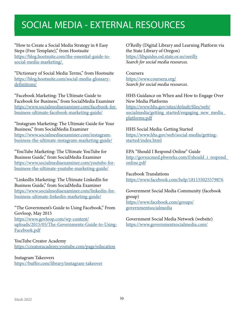### <span id="page-49-0"></span>SOCIAL MEDIA - EXTERNAL RESOURCES

"How to Create a Social Media Strategy in 8 Easy Steps (Free Template)," from Hootsuite [https://blog.hootsuite.com/the-essential-guide-to](https://blog.hootsuite.com/the-essential-guide-to-social-media-marketing/)[social-media-marketing/](https://blog.hootsuite.com/the-essential-guide-to-social-media-marketing/)

"Dictionary of Social Media Terms," from Hootsuite [https://blog.hootsuite.com/social-media-glossary](https://blog.hootsuite.com/social-media-glossary-definitions/)[definitions/](https://blog.hootsuite.com/social-media-glossary-definitions/)

"Facebook Marketing: The Ultimate Guide to Facebook for Business," from SocialMedia Examiner [https://www.socialmediaexaminer.com/facebook-for](https://www.socialmediaexaminer.com/facebook-for-business-ultimate-facebook-marketing-guide/)[business-ultimate-facebook-marketing-guide/](https://www.socialmediaexaminer.com/facebook-for-business-ultimate-facebook-marketing-guide/)

"Instagram Marketing: The Ultimate Guide for Your Business," from SocialMedia Examiner [https://www.socialmediaexaminer.com/instagram](https://www.socialmediaexaminer.com/instagram-business-the-ultimate-instagram-marketing-guide/)[business-the-ultimate-instagram-marketing-guide/](https://www.socialmediaexaminer.com/instagram-business-the-ultimate-instagram-marketing-guide/)

"YouTube Marketing: The Ultimate YouTube for Business Guide," from SocialMedia Examiner [https://www.socialmediaexaminer.com/youtube-for](https://www.socialmediaexaminer.com/youtube-for-business-the-ultimate-youtube-marketing-guide/)[business-the-ultimate-youtube-marketing-guide/](https://www.socialmediaexaminer.com/youtube-for-business-the-ultimate-youtube-marketing-guide/)

"LinkedIn Marketing: The Ultimate LinkedIn for Business Guide," from SocialMedia Examiner [https://www.socialmediaexaminer.com/linkedin-for](https://www.socialmediaexaminer.com/linkedin-for-business-ultimate-linkedin-marketing-guide/)[business-ultimate-linkedin-marketing-guide/](https://www.socialmediaexaminer.com/linkedin-for-business-ultimate-linkedin-marketing-guide/)

"The Government's Guide to Using Facebook," From Govloop, May 2015 [https://www.govloop.com/wp-content/](https://www.govloop.com/wp-content/uploads/2015/05/The-Governments-Guide-to-Using-Facebook.pdf)

[uploads/2015/05/The-Governments-Guide-to-Using-](https://www.govloop.com/wp-content/uploads/2015/05/The-Governments-Guide-to-Using-Facebook.pdf)[Facebook.pdf](https://www.govloop.com/wp-content/uploads/2015/05/The-Governments-Guide-to-Using-Facebook.pdf)

YouTube Creator Academy <https://creatoracademy.youtube.com/page/education>

Instagram Takeovers <https://buffer.com/library/instagram-takeover> O'Reilly (Digital Library and Learning Platform via the State Library of Oregon) <https://libguides.osl.state.or.us/oreilly> *Search for social media resources.*

Coursera <https://www.coursera.org/> *Search for social media resources.*

HHS Guidance on When and How to Engage Over New Media Platforms [https://www.hhs.gov/sites/default/files/web/](https://www.hhs.gov/sites/default/files/web/socialmedia/getting_started/engaging_new_media_platforms.pdf) [socialmedia/getting\\_started/engaging\\_new\\_media\\_](https://www.hhs.gov/sites/default/files/web/socialmedia/getting_started/engaging_new_media_platforms.pdf) [platforms.pdf](https://www.hhs.gov/sites/default/files/web/socialmedia/getting_started/engaging_new_media_platforms.pdf)

HHS Social Media: Getting Started [https://www.hhs.gov/web/social-media/getting](https://www.hhs.gov/web/social-media/getting-started/index.html )[started/index.html](https://www.hhs.gov/web/social-media/getting-started/index.html )

EPA "Should I Respond Online" Guide [http://govsocmed.pbworks.com/f/should\\_i\\_respond\\_](http://govsocmed.pbworks.com/f/should_i_respond_online.pdf) [online.pdf](http://govsocmed.pbworks.com/f/should_i_respond_online.pdf)

Facebook Translations <https://www.facebook.com/help/181155025579876>

Government Social Media Community (facebook group) [https://www.facebook.com/groups/](https://www.facebook.com/groups/governmentsocialmedia) [governmentsocialmedia](https://www.facebook.com/groups/governmentsocialmedia)

Government Social Media Network (website) https://www.governmentsocialmedia.com/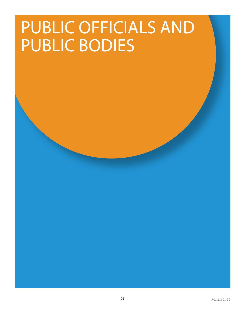## <span id="page-50-0"></span>PUBLIC OFFICIALS AND PUBLIC BODIES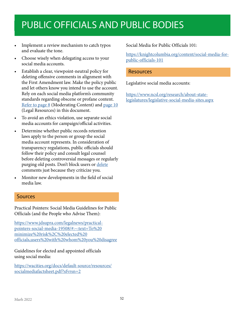### <span id="page-51-0"></span>PUBLIC OFFICIALS AND PUBLIC BODIES

- Implement a review mechanism to catch typos and evaluate the tone.
- Choose wisely when delegating access to your social media accounts.
- Establish a clear, viewpoint-neutral policy for deleting offensive comments in alignment with the First Amendment law. Make the policy public and let others know you intend to use the account. Rely on each social media platform's community standards regarding obscene or profane content. [Refer to page 8](#page-7-1) (Moderating Content) and [page](#page-9-1) 10 (Legal Resources) in this document.
- To avoid an ethics violation, use separate social media accounts for campaign/official activities.
- Determine whether public records retention laws apply to the person or group the social media account represents. In consideration of transparency regulations, public officials should follow their policy and consult legal counsel before deleting controversial messages or regularly purging old posts. Don't block users or [delete](#page-53-1) comments just because they criticize you.
- <span id="page-51-1"></span>• Monitor new developments in the field of social media law.

#### Sources

Practical Pointers: Social Media Guidelines for Public Officials (and the People who Advise Them):

[https://www.jdsupra.com/legalnews/practical](https://www.jdsupra.com/legalnews/practical-pointers-social-media-19508/#:~:text=To%20minimize%20ris)[pointers-social-media-19508/#:~:text=To%20](https://www.jdsupra.com/legalnews/practical-pointers-social-media-19508/#:~:text=To%20minimize%20ris) [minimize%20risk%2C%20elected%20](https://www.jdsupra.com/legalnews/practical-pointers-social-media-19508/#:~:text=To%20minimize%20ris) [officials,users%20with%20whom%20you%20disagree](https://www.jdsupra.com/legalnews/practical-pointers-social-media-19508/#:~:text=To%20minimize%20ris)

Guidelines for elected and appointed officials using social media:

[https://wacities.org/docs/default-source/resources/](https://wacities.org/docs/default-source/resources/socialmediafactsheet.pdf?sfvrsn=2) [socialmediafactsheet.pdf?sfvrsn=2](https://wacities.org/docs/default-source/resources/socialmediafactsheet.pdf?sfvrsn=2)

Social Media for Public Officials 101:

[https://knightcolumbia.org/content/social-media-for](https://knightcolumbia.org/content/social-media-for-public-officials-101)[public-officials-101](https://knightcolumbia.org/content/social-media-for-public-officials-101)

#### Resources

Legislative social media accounts:

[https://www.ncsl.org/research/about-state](https://www.ncsl.org/research/about-state-legislatures/legislative-social-media-sites.aspx)[legislatures/legislative-social-media-sites.aspx](https://www.ncsl.org/research/about-state-legislatures/legislative-social-media-sites.aspx)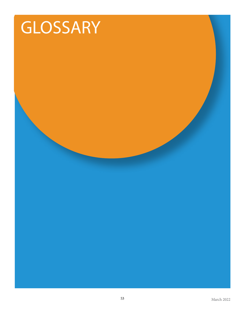## <span id="page-52-0"></span>GLOSSARY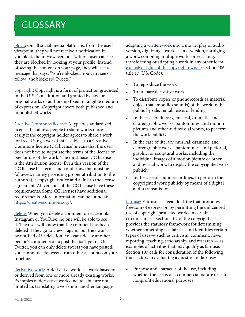### <span id="page-53-1"></span><span id="page-53-0"></span>**GLOSSARY**

[block](#page-9-2)**:** On all social media platforms, from the user's viewpoint, they will not receive a notification if you block them. However, on Twitter a user can see they are blocked by looking at your profile. Instead of seeing the content on your page, they will see a message that says, "You're blocked. You can't see or follow [the blocker's] Tweets."

[copyright](#page-8-2)**:** Copyright is a form of protection grounded in the U. S. Constitution and granted by law for original works of authorship fixed in tangible medium of expression. Copyright covers both published and unpublished works.

[Creative Commons license: A](#page-11-1) type of standardized license that allows people to share works more easily if the copyright holder agrees to share a work for free. Using a work that is subject to a Creative Commons license (CC license) means that the user does not have to negotiate the terms of the license or pay for use of the work. The most basic CC license is the Attribution license. Even this version of the CC license has terms and conditions that must be followed, namely providing proper attribution to the author(s), a copyright notice and a link to the license agreement. All versions of the CC license have these requirements. Some CC licenses have additional requirements. More information can be found at: [https://creativecommons.org/.](https://creativecommons.org/)

[delete:](#page-51-1) When you delete a comment on Facebook, Instagram or YouTube, no one will be able to see it. The user will know that the comment has been deleted if they go to view it again, but they won't be notified of its deletion. You can't delete another person's comments on a post that isn't yours. On Twitter, you can only delete tweets you have posted; you cannot delete tweets from other accounts on your timeline.

[derivative work: A](#page-11-1) derivative work is a work based on or derived from one or more already existing works. Examples of derivative works include, but are not limited to, translating a work into another language,

adapting a written work into a movie, play or audio version, digitizing a work as an e-version, abridging a work, compiling multiple works or recasting, transforming or adapting a work in any other form. [exclusive rights of the copyright owner \(](#page-11-1)section 106, title 17, U.S. Code):

- To reproduce the work
- To prepare derivative works
- To distribute copies or phonorecords (a material object that embodies sounds) of the work to the public by sale, rental, lease, or lending
- In the case of literary, musical, dramatic, and choreographic works, pantomimes, and motion pictures and other audiovisual works, to perform the work publicly
- In the case of literary, musical, dramatic, and choreographic works, pantomimes, and pictorial, graphic, or sculptural works, including the individual images of a motion picture or other audiovisual work, to display the copyrighted work publicly
- In the case of sound recordings, to perform the copyrighted work publicly by means of a digital audio transmission

[fair use:](#page-13-1) Fair use is a legal doctrine that promotes freedom of expression by permitting the unlicensed use of copyright-protected works in certain circumstances. Section 107 of the copyright act provides the statutory framework for determining whether something is a fair use and identifies certain types of uses — such as criticism, comment, news reporting, teaching, scholarship, and research — as examples of activities that may qualify as fair use. Section 107 calls for consideration of the following four factors in evaluating a question of fair use:

• Purpose and character of the use, including whether the use is of a commercial nature or is for nonprofit educational purposes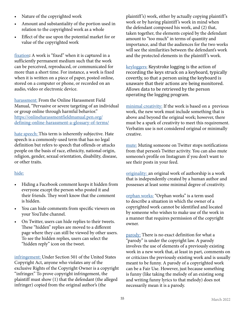- Nature of the copyrighted work
- Amount and substantiality of the portion used in relation to the copyrighted work as a whole
- Effect of the use upon the potential market for or value of the copyrighted work

[fixation](#page-11-1)**:** A work is "fixed" when it is captured in a sufficiently permanent medium such that the work can be perceived, reproduced, or communicated for more than a short time. For instance, a work is fixed when it is written on a piece of paper, posted online, stored on a computer or phone, or recorded on an audio, video or electronic device.

[harassment:](#page-7-2) From the Online Harassment Field Manual, "Pervasive or severe targeting of an individual or group online through harmful behavior." [https://onlineharassmentfieldmanual.pen.org/](https://onlineharassmentfieldmanual.pen.org/defining-online-harassment-a-glossary-of-terms/) [defining-online-harassment-a-glossary-of-terms/](https://onlineharassmentfieldmanual.pen.org/defining-online-harassment-a-glossary-of-terms/)

[hate speech: T](#page-7-2)his term is inherently subjective. Hate speech is a commonly-used term that has no legal definition but refers to speech that offends or attacks people on the basis of race, ethnicity, national origin, religion, gender, sexual orientation, disability, disease, or other traits.

#### [hide:](#page-8-3)

- Hiding a Facebook comment keeps it hidden from everyone except the person who posted it and their friends. They won't know that the comment is hidden.
- You can hide comments from specific viewers on your YouTube channel.
- On Twitter, users can hide replies to their tweets. These "hidden" replies are moved to a different page where they can still be viewed by other users. To see the hidden replies, users can select the "hidden reply" icon on the tweet.

[infringement: U](#page-8-3)nder Section 501 of the United States Copyright Act, anyone who violates any of the exclusive Rights of the Copyright Owner is a copyright "infringer." To prove copyright infringement, the plaintiff must show (1) that the defendant (the alleged infringer) copied from the original author's (the

plaintiff 's) work, either by actually copying plaintiff 's work or by having plaintiff 's work in mind when the defendant composed his work, and (2) that, taken together, the elements copied by the defendant amount to "too much" in terms of quantity and importance, and that the audiences for the two works will see the similarities between the defendant's work and the protected elements in the plaintiff 's work.

[keyloggers:](#page-27-1) Keystroke logging is the action of recording the keys struck on a keyboard, typically covertly, so that a person using the keyboard is unaware that their actions are being monitored. Allows data to be retrieved by the person operating the logging program.

[minimal creativity:](#page-11-1) If the work is based on a previous work, the new work must include something that is above and beyond the original work; however, there must be a spark of creativity to meet this requirement. Verbatim use is not considered original or minimally creative.

[mute:](#page-40-1) Muting someone on Twitter stops notifications from that person's Twitter activity. You can also mute someone's profile on Instagram if you don't want to see their posts in your feed.

[originality: a](#page-11-1)n original work of authorship is a work that is independently created by a human author and possesses at least some minimal degree of creativity.

[orphan works:](#page-11-1) "Orphan works" is a term used to describe a situation in which the owner of a copyrighted work cannot be identified and located by someone who wishes to make use of the work in a manner that requires permission of the copyright owner.

[parody:](#page-11-1) There is no exact definition for what a "parody" is under the copyright law. A parody involves the use of elements of a previously existing work in a new work that, at least in part, comments on or criticizes the previously existing work and is usually meant to be funny. A parody of a copyrighted work can be a Fair Use. However, just because something is funny (like taking the melody of an existing song and writing funny lyrics to that melody) does not necessarily mean it is a parody.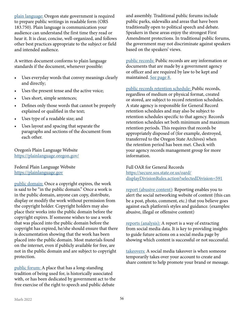[plain language:](#page-6-1) Oregon state government is required to prepare public writings in readable form (ORS 183.750). Plain language is communication your audience can understand the first time they read or hear it. It is clear, concise, well-organized, and follows other best practices appropriate to the subject or field and intended audience.

A written document conforms to plain language standards if the document, whenever possible:

- Uses everyday words that convey meanings clearly and directly;
- Uses the present tense and the active voice;
- Uses short, simple sentences;
- Defines only those words that cannot be properly explained or qualified in the text;
- Uses type of a readable size; and
- Uses layout and spacing that separate the paragraphs and sections of the document from each other.

Oregon's Plain Language Website <https://plainlanguage.oregon.gov/>

Federal Plain Language Website <https://plainlanguage.gov>

[public domain:](#page-11-1) Once a copyright expires, the work is said to be "in the public domain." Once a work is in the public domain, anyone can copy, distribute, display or modify the work without permission from the copyright holder. Copyright holders may also place their works into the public domain before the copyright expires. If someone wishes to use a work that was placed into the public domain before the copyright has expired, he/she should ensure that there is documentation showing that the work has been placed into the public domain. Most materials found on the internet, even if publicly available for free, are not in the public domain and are subject to copyright protection.

[public forum:](#page-7-2) A place that has a long-standing tradition of being used for, is historically associated with, or has been dedicated by government act to the free exercise of the right to speech and public debate

and assembly. Traditional public forums include public parks, sidewalks and areas that have been traditionally open to political speech and debate. Speakers in these areas enjoy the strongest First Amendment protections. In traditional public forums, the government may not discriminate against speakers based on the speakers' views.

[public records:](#page-7-2) Public records are any information or documents that are made by a government agency or officer and are required by law to be kept and maintained. [See page 8.](#page-7-2)

[public records retention schedule: P](#page-7-2)ublic records, regardless of medium or physical format, created or stored, are subject to record retention schedules. A state agency is responsible for General Record retention schedules and may also be subject to retention schedules specific to that agency. Records retention schedules set both minimum and maximum retention periods. This requires that records be appropriately disposed of (for example, destroyed, transferred to the Oregon State Archives) when the retention period has been met. Check with your agency records management group for more information.

Full OAR for General Records [https://secure.sos.state.or.us/oard/](https://secure.sos.state.or.us/oard/displayDivisionRules.action?selectedDivision=591) [displayDivisionRules.action?selectedDivision=591](https://secure.sos.state.or.us/oard/displayDivisionRules.action?selectedDivision=591)

[report \(abusive content\)](#page-9-3): Reporting enables you to alert the social networking website of content (this can be a post, photo, comment, etc.) that you believe goes against each platform's styles and guidance. (examples: abusive, illegal or offensive content)

[reports \(analysis\):](#page-22-1) A report is a way of extracting from social media data. It is key to providing insights to guide future actions on a social media page by showing which content is successful or not successful.

takeovers: A social media takeover is when someone temporarily takes over your account to create and share content to help promote your brand or message.